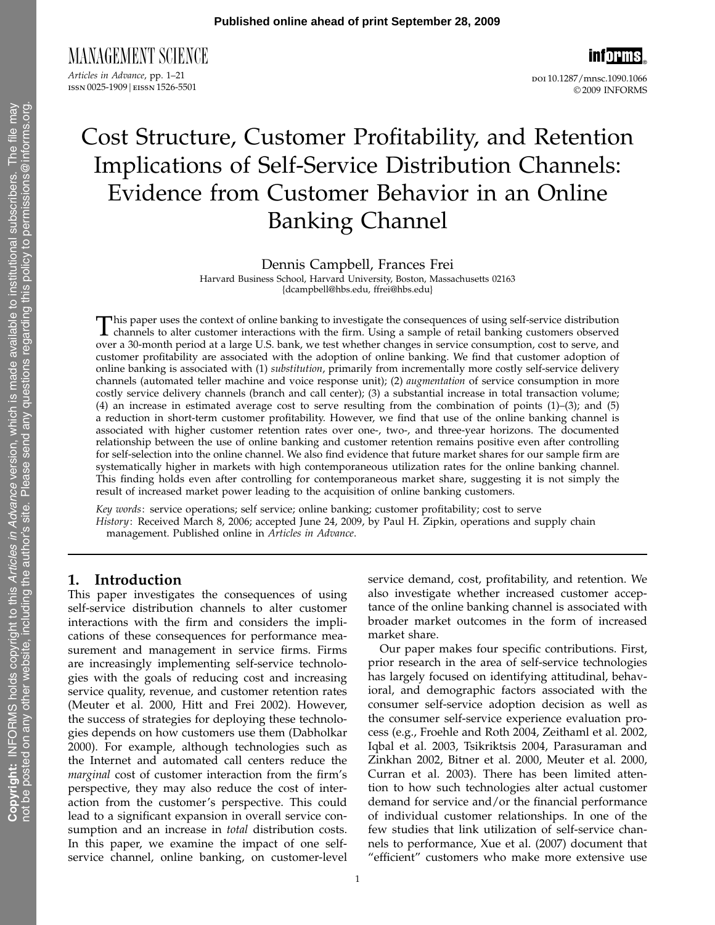doi 10.1287/mnsc.1090.1066 © 2009 INFORMS

# Cost Structure, Customer Profitability, and Retention Implications of Self-Service Distribution Channels: Evidence from Customer Behavior in an Online Banking Channel

Dennis Campbell, Frances Frei

Harvard Business School, Harvard University, Boston, Massachusetts 02163 {dcampbell@hbs.edu, ffrei@hbs.edu}

This paper uses the context of online banking to investigate the consequences of using self-service distribution<br>channels to alter customer interactions with the firm. Using a sample of retail banking customers observed<br>ov over a 30-month period at a large U.S. bank, we test whether changes in service consumption, cost to serve, and customer profitability are associated with the adoption of online banking. We find that customer adoption of online banking is associated with (1) *substitution*, primarily from incrementally more costly self-service delivery channels (automated teller machine and voice response unit); (2) *augmentation* of service consumption in more costly service delivery channels (branch and call center); (3) a substantial increase in total transaction volume; (4) an increase in estimated average cost to serve resulting from the combination of points (1)–(3); and (5) a reduction in short-term customer profitability. However, we find that use of the online banking channel is associated with higher customer retention rates over one-, two-, and three-year horizons. The documented relationship between the use of online banking and customer retention remains positive even after controlling for self-selection into the online channel. We also find evidence that future market shares for our sample firm are systematically higher in markets with high contemporaneous utilization rates for the online banking channel. This finding holds even after controlling for contemporaneous market share, suggesting it is not simply the result of increased market power leading to the acquisition of online banking customers.

Key words: service operations; self service; online banking; customer profitability; cost to serve History: Received March 8, 2006; accepted June 24, 2009, by Paul H. Zipkin, operations and supply chain management. Published online in Articles in Advance.

# 1. Introduction

This paper investigates the consequences of using self-service distribution channels to alter customer interactions with the firm and considers the implications of these consequences for performance measurement and management in service firms. Firms are increasingly implementing self-service technologies with the goals of reducing cost and increasing service quality, revenue, and customer retention rates (Meuter et al. 2000, Hitt and Frei 2002). However, the success of strategies for deploying these technologies depends on how customers use them (Dabholkar 2000). For example, although technologies such as the Internet and automated call centers reduce the marginal cost of customer interaction from the firm's perspective, they may also reduce the cost of interaction from the customer's perspective. This could lead to a significant expansion in overall service consumption and an increase in total distribution costs. In this paper, we examine the impact of one selfservice channel, online banking, on customer-level

service demand, cost, profitability, and retention. We also investigate whether increased customer acceptance of the online banking channel is associated with broader market outcomes in the form of increased market share.

Our paper makes four specific contributions. First, prior research in the area of self-service technologies has largely focused on identifying attitudinal, behavioral, and demographic factors associated with the consumer self-service adoption decision as well as the consumer self-service experience evaluation process (e.g., Froehle and Roth 2004, Zeithaml et al. 2002, Iqbal et al. 2003, Tsikriktsis 2004, Parasuraman and Zinkhan 2002, Bitner et al. 2000, Meuter et al. 2000, Curran et al. 2003). There has been limited attention to how such technologies alter actual customer demand for service and/or the financial performance of individual customer relationships. In one of the few studies that link utilization of self-service channels to performance, Xue et al. (2007) document that "efficient" customers who make more extensive use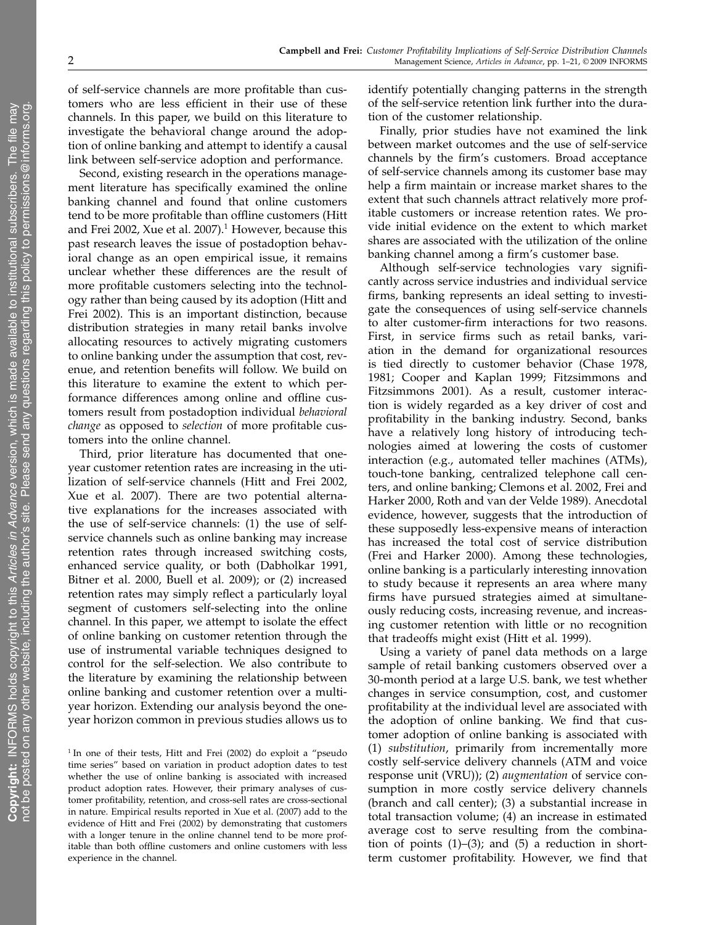of self-service channels are more profitable than customers who are less efficient in their use of these channels. In this paper, we build on this literature to investigate the behavioral change around the adoption of online banking and attempt to identify a causal link between self-service adoption and performance.

Second, existing research in the operations management literature has specifically examined the online banking channel and found that online customers tend to be more profitable than offline customers (Hitt and Frei 2002, Xue et al. 2007).<sup>1</sup> However, because this past research leaves the issue of postadoption behavioral change as an open empirical issue, it remains unclear whether these differences are the result of more profitable customers selecting into the technology rather than being caused by its adoption (Hitt and Frei 2002). This is an important distinction, because distribution strategies in many retail banks involve allocating resources to actively migrating customers to online banking under the assumption that cost, revenue, and retention benefits will follow. We build on this literature to examine the extent to which performance differences among online and offline customers result from postadoption individual behavioral change as opposed to selection of more profitable customers into the online channel.

Third, prior literature has documented that oneyear customer retention rates are increasing in the utilization of self-service channels (Hitt and Frei 2002, Xue et al. 2007). There are two potential alternative explanations for the increases associated with the use of self-service channels: (1) the use of selfservice channels such as online banking may increase retention rates through increased switching costs, enhanced service quality, or both (Dabholkar 1991, Bitner et al. 2000, Buell et al. 2009); or (2) increased retention rates may simply reflect a particularly loyal segment of customers self-selecting into the online channel. In this paper, we attempt to isolate the effect of online banking on customer retention through the use of instrumental variable techniques designed to control for the self-selection. We also contribute to the literature by examining the relationship between online banking and customer retention over a multiyear horizon. Extending our analysis beyond the oneyear horizon common in previous studies allows us to

identify potentially changing patterns in the strength of the self-service retention link further into the duration of the customer relationship.

Finally, prior studies have not examined the link between market outcomes and the use of self-service channels by the firm's customers. Broad acceptance of self-service channels among its customer base may help a firm maintain or increase market shares to the extent that such channels attract relatively more profitable customers or increase retention rates. We provide initial evidence on the extent to which market shares are associated with the utilization of the online banking channel among a firm's customer base.

Although self-service technologies vary significantly across service industries and individual service firms, banking represents an ideal setting to investigate the consequences of using self-service channels to alter customer-firm interactions for two reasons. First, in service firms such as retail banks, variation in the demand for organizational resources is tied directly to customer behavior (Chase 1978, 1981; Cooper and Kaplan 1999; Fitzsimmons and Fitzsimmons 2001). As a result, customer interaction is widely regarded as a key driver of cost and profitability in the banking industry. Second, banks have a relatively long history of introducing technologies aimed at lowering the costs of customer interaction (e.g., automated teller machines (ATMs), touch-tone banking, centralized telephone call centers, and online banking; Clemons et al. 2002, Frei and Harker 2000, Roth and van der Velde 1989). Anecdotal evidence, however, suggests that the introduction of these supposedly less-expensive means of interaction has increased the total cost of service distribution (Frei and Harker 2000). Among these technologies, online banking is a particularly interesting innovation to study because it represents an area where many firms have pursued strategies aimed at simultaneously reducing costs, increasing revenue, and increasing customer retention with little or no recognition that tradeoffs might exist (Hitt et al. 1999).

Using a variety of panel data methods on a large sample of retail banking customers observed over a 30-month period at a large U.S. bank, we test whether changes in service consumption, cost, and customer profitability at the individual level are associated with the adoption of online banking. We find that customer adoption of online banking is associated with (1) substitution, primarily from incrementally more costly self-service delivery channels (ATM and voice response unit (VRU)); (2) augmentation of service consumption in more costly service delivery channels (branch and call center); (3) a substantial increase in total transaction volume; (4) an increase in estimated average cost to serve resulting from the combination of points  $(1)$ – $(3)$ ; and  $(5)$  a reduction in shortterm customer profitability. However, we find that

<sup>&</sup>lt;sup>1</sup> In one of their tests, Hitt and Frei (2002) do exploit a "pseudo time series" based on variation in product adoption dates to test whether the use of online banking is associated with increased product adoption rates. However, their primary analyses of customer profitability, retention, and cross-sell rates are cross-sectional in nature. Empirical results reported in Xue et al. (2007) add to the evidence of Hitt and Frei (2002) by demonstrating that customers with a longer tenure in the online channel tend to be more profitable than both offline customers and online customers with less experience in the channel.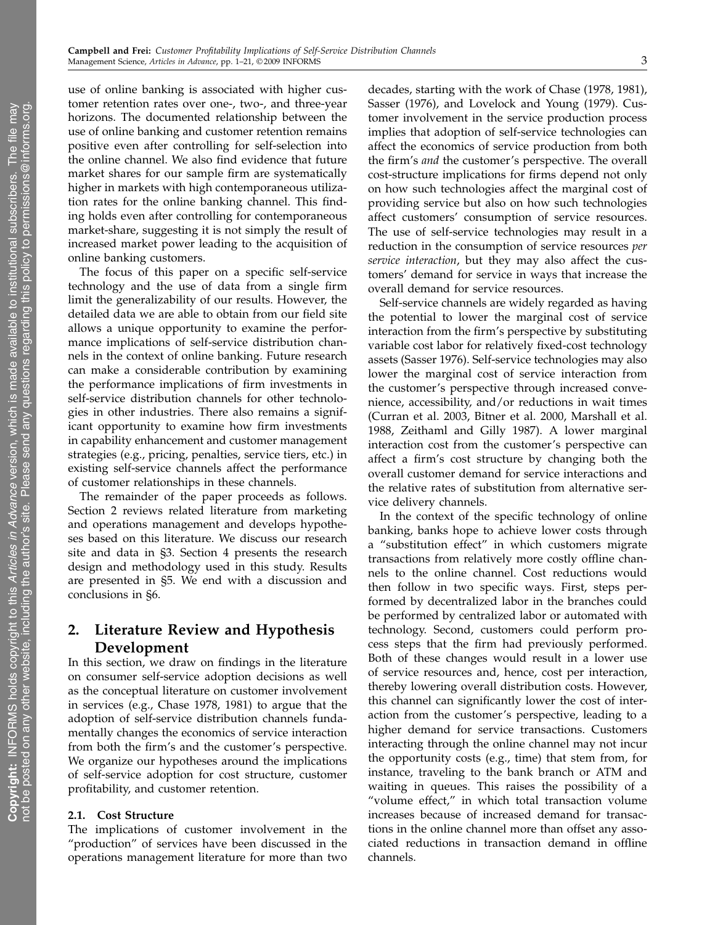use of online banking is associated with higher customer retention rates over one-, two-, and three-year horizons. The documented relationship between the use of online banking and customer retention remains positive even after controlling for self-selection into the online channel. We also find evidence that future market shares for our sample firm are systematically higher in markets with high contemporaneous utilization rates for the online banking channel. This finding holds even after controlling for contemporaneous market-share, suggesting it is not simply the result of increased market power leading to the acquisition of online banking customers.

The focus of this paper on a specific self-service technology and the use of data from a single firm limit the generalizability of our results. However, the detailed data we are able to obtain from our field site allows a unique opportunity to examine the performance implications of self-service distribution channels in the context of online banking. Future research can make a considerable contribution by examining the performance implications of firm investments in self-service distribution channels for other technologies in other industries. There also remains a significant opportunity to examine how firm investments in capability enhancement and customer management strategies (e.g., pricing, penalties, service tiers, etc.) in existing self-service channels affect the performance of customer relationships in these channels.

The remainder of the paper proceeds as follows. Section 2 reviews related literature from marketing and operations management and develops hypotheses based on this literature. We discuss our research site and data in §3. Section 4 presents the research design and methodology used in this study. Results are presented in §5. We end with a discussion and conclusions in §6.

# 2. Literature Review and Hypothesis Development

In this section, we draw on findings in the literature on consumer self-service adoption decisions as well as the conceptual literature on customer involvement in services (e.g., Chase 1978, 1981) to argue that the adoption of self-service distribution channels fundamentally changes the economics of service interaction from both the firm's and the customer's perspective. We organize our hypotheses around the implications of self-service adoption for cost structure, customer profitability, and customer retention.

### 2.1. Cost Structure

The implications of customer involvement in the "production" of services have been discussed in the operations management literature for more than two

decades, starting with the work of Chase (1978, 1981), Sasser (1976), and Lovelock and Young (1979). Customer involvement in the service production process implies that adoption of self-service technologies can affect the economics of service production from both the firm's and the customer's perspective. The overall cost-structure implications for firms depend not only on how such technologies affect the marginal cost of providing service but also on how such technologies affect customers' consumption of service resources. The use of self-service technologies may result in a reduction in the consumption of service resources per service interaction, but they may also affect the customers' demand for service in ways that increase the overall demand for service resources.

Self-service channels are widely regarded as having the potential to lower the marginal cost of service interaction from the firm's perspective by substituting variable cost labor for relatively fixed-cost technology assets (Sasser 1976). Self-service technologies may also lower the marginal cost of service interaction from the customer's perspective through increased convenience, accessibility, and/or reductions in wait times (Curran et al. 2003, Bitner et al. 2000, Marshall et al. 1988, Zeithaml and Gilly 1987). A lower marginal interaction cost from the customer's perspective can affect a firm's cost structure by changing both the overall customer demand for service interactions and the relative rates of substitution from alternative service delivery channels.

In the context of the specific technology of online banking, banks hope to achieve lower costs through a "substitution effect" in which customers migrate transactions from relatively more costly offline channels to the online channel. Cost reductions would then follow in two specific ways. First, steps performed by decentralized labor in the branches could be performed by centralized labor or automated with technology. Second, customers could perform process steps that the firm had previously performed. Both of these changes would result in a lower use of service resources and, hence, cost per interaction, thereby lowering overall distribution costs. However, this channel can significantly lower the cost of interaction from the customer's perspective, leading to a higher demand for service transactions. Customers interacting through the online channel may not incur the opportunity costs (e.g., time) that stem from, for instance, traveling to the bank branch or ATM and waiting in queues. This raises the possibility of a "volume effect," in which total transaction volume increases because of increased demand for transactions in the online channel more than offset any associated reductions in transaction demand in offline channels.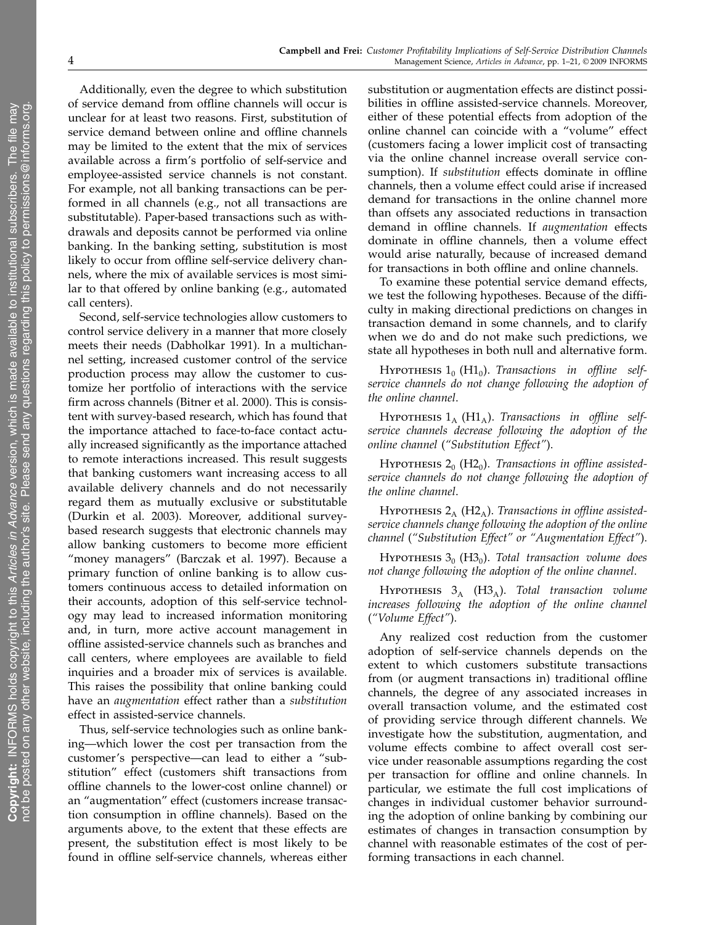Additionally, even the degree to which substitution of service demand from offline channels will occur is unclear for at least two reasons. First, substitution of service demand between online and offline channels may be limited to the extent that the mix of services available across a firm's portfolio of self-service and employee-assisted service channels is not constant. For example, not all banking transactions can be performed in all channels (e.g., not all transactions are substitutable). Paper-based transactions such as withdrawals and deposits cannot be performed via online banking. In the banking setting, substitution is most likely to occur from offline self-service delivery channels, where the mix of available services is most similar to that offered by online banking (e.g., automated call centers).

Second, self-service technologies allow customers to control service delivery in a manner that more closely meets their needs (Dabholkar 1991). In a multichannel setting, increased customer control of the service production process may allow the customer to customize her portfolio of interactions with the service firm across channels (Bitner et al. 2000). This is consistent with survey-based research, which has found that the importance attached to face-to-face contact actually increased significantly as the importance attached to remote interactions increased. This result suggests that banking customers want increasing access to all available delivery channels and do not necessarily regard them as mutually exclusive or substitutable (Durkin et al. 2003). Moreover, additional surveybased research suggests that electronic channels may allow banking customers to become more efficient "money managers" (Barczak et al. 1997). Because a primary function of online banking is to allow customers continuous access to detailed information on their accounts, adoption of this self-service technology may lead to increased information monitoring and, in turn, more active account management in offline assisted-service channels such as branches and call centers, where employees are available to field inquiries and a broader mix of services is available. This raises the possibility that online banking could have an *augmentation* effect rather than a *substitution* effect in assisted-service channels.

Thus, self-service technologies such as online banking—which lower the cost per transaction from the customer's perspective—can lead to either a "substitution" effect (customers shift transactions from offline channels to the lower-cost online channel) or an "augmentation" effect (customers increase transaction consumption in offline channels). Based on the arguments above, to the extent that these effects are present, the substitution effect is most likely to be found in offline self-service channels, whereas either

substitution or augmentation effects are distinct possibilities in offline assisted-service channels. Moreover, either of these potential effects from adoption of the online channel can coincide with a "volume" effect (customers facing a lower implicit cost of transacting via the online channel increase overall service consumption). If *substitution* effects dominate in offline channels, then a volume effect could arise if increased demand for transactions in the online channel more than offsets any associated reductions in transaction demand in offline channels. If augmentation effects dominate in offline channels, then a volume effect would arise naturally, because of increased demand for transactions in both offline and online channels.

To examine these potential service demand effects, we test the following hypotheses. Because of the difficulty in making directional predictions on changes in transaction demand in some channels, and to clarify when we do and do not make such predictions, we state all hypotheses in both null and alternative form.

HYPOTHESIS  $1_0$  (H $1_0$ ). Transactions in offline selfservice channels do not change following the adoption of the online channel.

HYPOTHESIS  $1_A$  (H1<sub>A</sub>). Transactions in offline selfservice channels decrease following the adoption of the online channel ("Substitution Effect").

HYPOTHESIS  $2<sub>0</sub>$  (H2<sub>0</sub>). Transactions in offline assistedservice channels do not change following the adoption of the online channel.

HYPOTHESIS  $2_A$  (H2<sub>A</sub>). Transactions in offline assistedservice channels change following the adoption of the online channel ("Substitution Effect" or "Augmentation Effect").

HYPOTHESIS  $3<sub>0</sub>$  (H3<sub>0</sub>). Total transaction volume does not change following the adoption of the online channel.

HYPOTHESIS  $3_A$  (H $3_A$ ). Total transaction volume increases following the adoption of the online channel ("Volume Effect").

Any realized cost reduction from the customer adoption of self-service channels depends on the extent to which customers substitute transactions from (or augment transactions in) traditional offline channels, the degree of any associated increases in overall transaction volume, and the estimated cost of providing service through different channels. We investigate how the substitution, augmentation, and volume effects combine to affect overall cost service under reasonable assumptions regarding the cost per transaction for offline and online channels. In particular, we estimate the full cost implications of changes in individual customer behavior surrounding the adoption of online banking by combining our estimates of changes in transaction consumption by channel with reasonable estimates of the cost of performing transactions in each channel.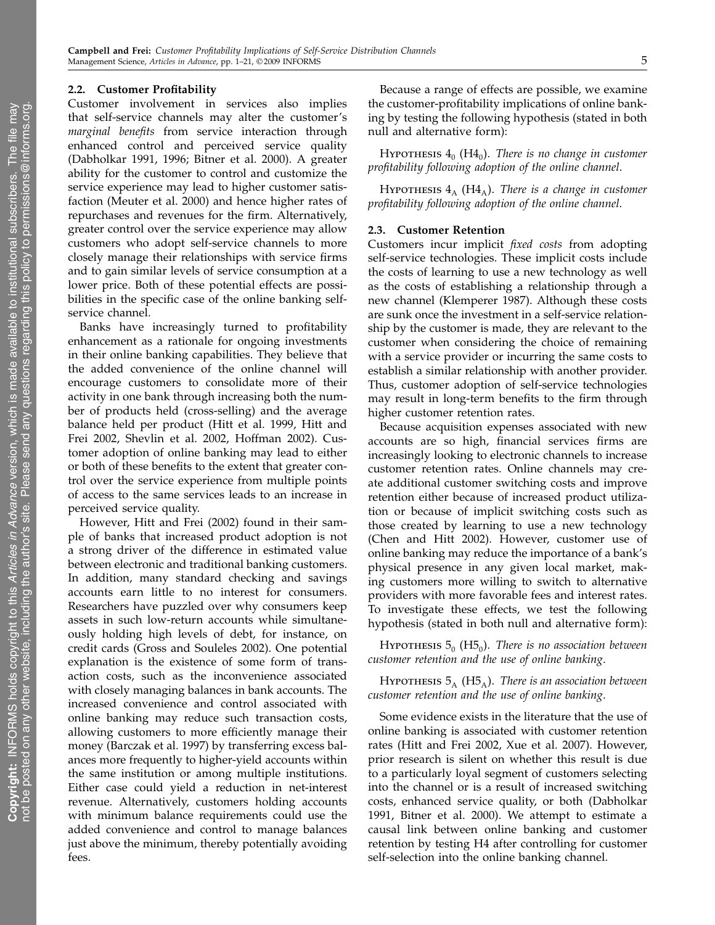### 2.2. Customer Profitability

Customer involvement in services also implies that self-service channels may alter the customer's marginal benefits from service interaction through enhanced control and perceived service quality (Dabholkar 1991, 1996; Bitner et al. 2000). A greater ability for the customer to control and customize the service experience may lead to higher customer satisfaction (Meuter et al. 2000) and hence higher rates of repurchases and revenues for the firm. Alternatively, greater control over the service experience may allow customers who adopt self-service channels to more closely manage their relationships with service firms and to gain similar levels of service consumption at a lower price. Both of these potential effects are possibilities in the specific case of the online banking selfservice channel.

Banks have increasingly turned to profitability enhancement as a rationale for ongoing investments in their online banking capabilities. They believe that the added convenience of the online channel will encourage customers to consolidate more of their activity in one bank through increasing both the number of products held (cross-selling) and the average balance held per product (Hitt et al. 1999, Hitt and Frei 2002, Shevlin et al. 2002, Hoffman 2002). Customer adoption of online banking may lead to either or both of these benefits to the extent that greater control over the service experience from multiple points of access to the same services leads to an increase in perceived service quality.

However, Hitt and Frei (2002) found in their sample of banks that increased product adoption is not a strong driver of the difference in estimated value between electronic and traditional banking customers. In addition, many standard checking and savings accounts earn little to no interest for consumers. Researchers have puzzled over why consumers keep assets in such low-return accounts while simultaneously holding high levels of debt, for instance, on credit cards (Gross and Souleles 2002). One potential explanation is the existence of some form of transaction costs, such as the inconvenience associated with closely managing balances in bank accounts. The increased convenience and control associated with online banking may reduce such transaction costs, allowing customers to more efficiently manage their money (Barczak et al. 1997) by transferring excess balances more frequently to higher-yield accounts within the same institution or among multiple institutions. Either case could yield a reduction in net-interest revenue. Alternatively, customers holding accounts with minimum balance requirements could use the added convenience and control to manage balances just above the minimum, thereby potentially avoiding fees.

Because a range of effects are possible, we examine the customer-profitability implications of online banking by testing the following hypothesis (stated in both null and alternative form):

HYPOTHESIS  $4_0$  (H $4_0$ ). There is no change in customer profitability following adoption of the online channel.

HYPOTHESIS  $4_A$  (H $4_A$ ). There is a change in customer profitability following adoption of the online channel.

### 2.3. Customer Retention

Customers incur implicit fixed costs from adopting self-service technologies. These implicit costs include the costs of learning to use a new technology as well as the costs of establishing a relationship through a new channel (Klemperer 1987). Although these costs are sunk once the investment in a self-service relationship by the customer is made, they are relevant to the customer when considering the choice of remaining with a service provider or incurring the same costs to establish a similar relationship with another provider. Thus, customer adoption of self-service technologies may result in long-term benefits to the firm through higher customer retention rates.

Because acquisition expenses associated with new accounts are so high, financial services firms are increasingly looking to electronic channels to increase customer retention rates. Online channels may create additional customer switching costs and improve retention either because of increased product utilization or because of implicit switching costs such as those created by learning to use a new technology (Chen and Hitt 2002). However, customer use of online banking may reduce the importance of a bank's physical presence in any given local market, making customers more willing to switch to alternative providers with more favorable fees and interest rates. To investigate these effects, we test the following hypothesis (stated in both null and alternative form):

HYPOTHESIS  $5<sub>0</sub>$  (H $5<sub>0</sub>$ ). There is no association between customer retention and the use of online banking.

HYPOTHESIS  $5_A$  (H $5_A$ ). There is an association between customer retention and the use of online banking.

Some evidence exists in the literature that the use of online banking is associated with customer retention rates (Hitt and Frei 2002, Xue et al. 2007). However, prior research is silent on whether this result is due to a particularly loyal segment of customers selecting into the channel or is a result of increased switching costs, enhanced service quality, or both (Dabholkar 1991, Bitner et al. 2000). We attempt to estimate a causal link between online banking and customer retention by testing H4 after controlling for customer self-selection into the online banking channel.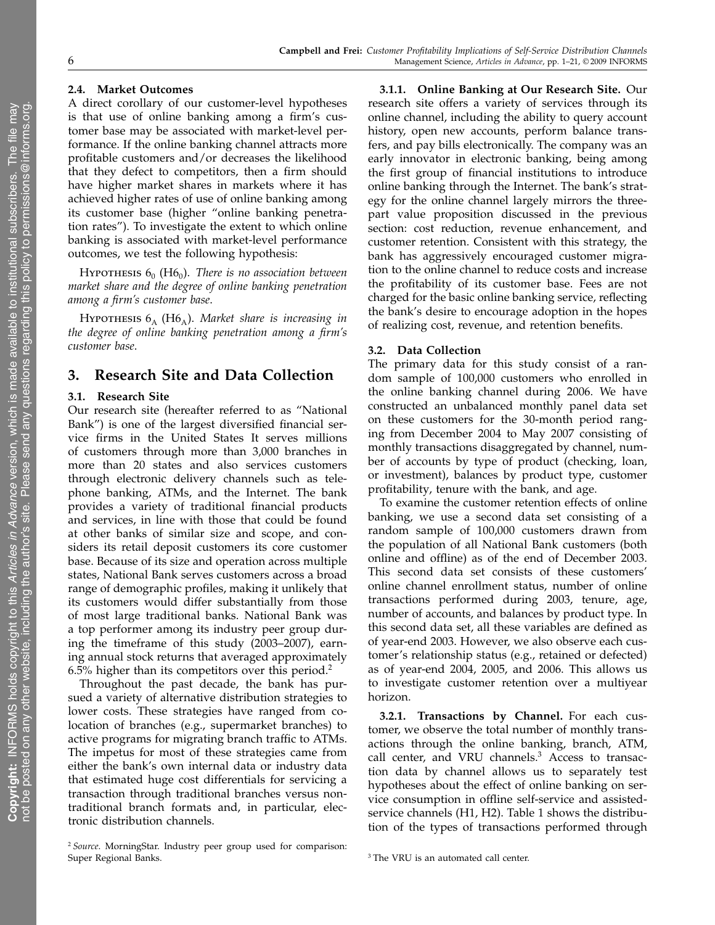A direct corollary of our customer-level hypotheses is that use of online banking among a firm's customer base may be associated with market-level performance. If the online banking channel attracts more profitable customers and/or decreases the likelihood that they defect to competitors, then a firm should have higher market shares in markets where it has achieved higher rates of use of online banking among its customer base (higher "online banking penetration rates"). To investigate the extent to which online banking is associated with market-level performance outcomes, we test the following hypothesis:

HYPOTHESIS  $6<sub>0</sub>$  (H $6<sub>0</sub>$ ). There is no association between market share and the degree of online banking penetration among a firm's customer base.

HYPOTHESIS  $6_A$  (H $6_A$ ). Market share is increasing in the degree of online banking penetration among a firm's customer base.

# 3. Research Site and Data Collection

### 3.1. Research Site

Our research site (hereafter referred to as "National Bank") is one of the largest diversified financial service firms in the United States It serves millions of customers through more than 3,000 branches in more than 20 states and also services customers through electronic delivery channels such as telephone banking, ATMs, and the Internet. The bank provides a variety of traditional financial products and services, in line with those that could be found at other banks of similar size and scope, and considers its retail deposit customers its core customer base. Because of its size and operation across multiple states, National Bank serves customers across a broad range of demographic profiles, making it unlikely that its customers would differ substantially from those of most large traditional banks. National Bank was a top performer among its industry peer group during the timeframe of this study  $(2003–2007)$ , earning annual stock returns that averaged approximately  $6.5\%$  higher than its competitors over this period.<sup>2</sup>

Throughout the past decade, the bank has pursued a variety of alternative distribution strategies to lower costs. These strategies have ranged from colocation of branches (e.g., supermarket branches) to active programs for migrating branch traffic to ATMs. The impetus for most of these strategies came from either the bank's own internal data or industry data that estimated huge cost differentials for servicing a transaction through traditional branches versus nontraditional branch formats and, in particular, electronic distribution channels.

<sup>2</sup> Source. MorningStar. Industry peer group used for comparison: Super Regional Banks.

3.1.1. Online Banking at Our Research Site. Our research site offers a variety of services through its online channel, including the ability to query account history, open new accounts, perform balance transfers, and pay bills electronically. The company was an early innovator in electronic banking, being among the first group of financial institutions to introduce online banking through the Internet. The bank's strategy for the online channel largely mirrors the threepart value proposition discussed in the previous section: cost reduction, revenue enhancement, and customer retention. Consistent with this strategy, the bank has aggressively encouraged customer migration to the online channel to reduce costs and increase the profitability of its customer base. Fees are not charged for the basic online banking service, reflecting the bank's desire to encourage adoption in the hopes of realizing cost, revenue, and retention benefits.

### 3.2. Data Collection

The primary data for this study consist of a random sample of 100,000 customers who enrolled in the online banking channel during 2006. We have constructed an unbalanced monthly panel data set on these customers for the 30-month period ranging from December 2004 to May 2007 consisting of monthly transactions disaggregated by channel, number of accounts by type of product (checking, loan, or investment), balances by product type, customer profitability, tenure with the bank, and age.

To examine the customer retention effects of online banking, we use a second data set consisting of a random sample of 100,000 customers drawn from the population of all National Bank customers (both online and offline) as of the end of December 2003. This second data set consists of these customers' online channel enrollment status, number of online transactions performed during 2003, tenure, age, number of accounts, and balances by product type. In this second data set, all these variables are defined as of year-end 2003. However, we also observe each customer's relationship status (e.g., retained or defected) as of year-end 2004, 2005, and 2006. This allows us to investigate customer retention over a multiyear horizon.

3.2.1. Transactions by Channel. For each customer, we observe the total number of monthly transactions through the online banking, branch, ATM, call center, and VRU channels.<sup>3</sup> Access to transaction data by channel allows us to separately test hypotheses about the effect of online banking on service consumption in offline self-service and assistedservice channels (H1, H2). Table 1 shows the distribution of the types of transactions performed through

<sup>&</sup>lt;sup>3</sup> The VRU is an automated call center.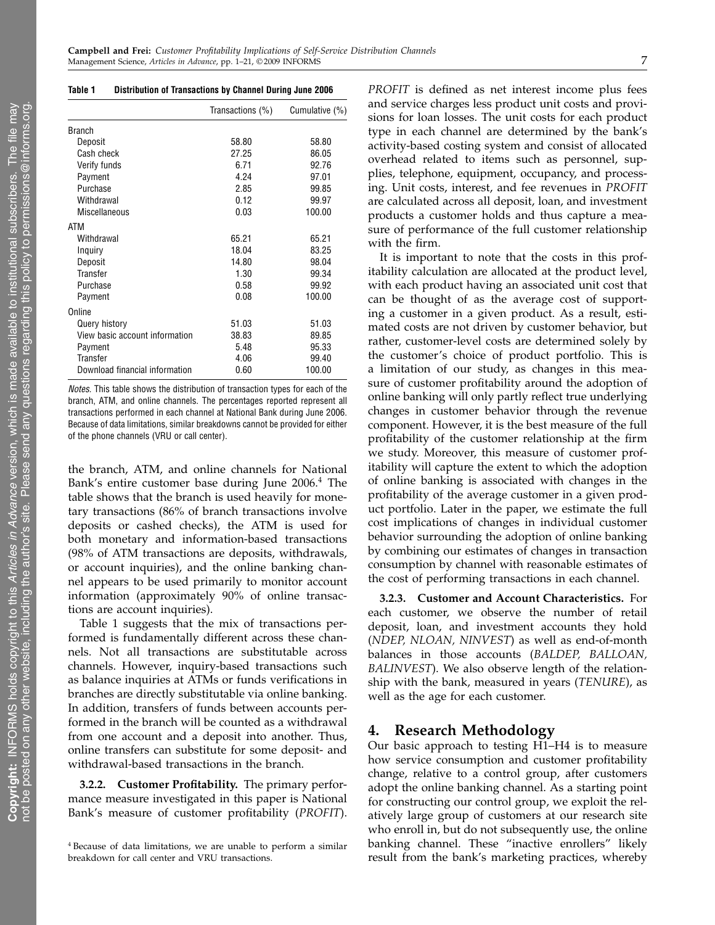Table 1 Distribution of Transactions by Channel During June 2006

|                                | Transactions (%) | Cumulative (%) |
|--------------------------------|------------------|----------------|
| <b>Branch</b>                  |                  |                |
| Deposit                        | 58.80            | 58.80          |
| Cash check                     | 27.25            | 86.05          |
| Verify funds                   | 6.71             | 92.76          |
| Payment                        | 4.24             | 97.01          |
| Purchase                       | 2.85             | 99.85          |
| Withdrawal                     | 0.12             | 99.97          |
| <b>Miscellaneous</b>           | 0.03             | 100.00         |
| ATM                            |                  |                |
| Withdrawal                     | 65.21            | 65.21          |
| Inquiry                        | 18.04            | 83.25          |
| Deposit                        | 14.80            | 98.04          |
| <b>Transfer</b>                | 1.30             | 99.34          |
| Purchase                       | 0.58             | 99.92          |
| Payment                        | 0.08             | 100.00         |
| Online                         |                  |                |
| Query history                  | 51.03            | 51.03          |
| View basic account information | 38.83            | 89.85          |
| Payment                        | 5.48             | 95.33          |
| <b>Transfer</b>                | 4.06             | 99.40          |
| Download financial information | 0.60             | 100.00         |

Notes. This table shows the distribution of transaction types for each of the branch, ATM, and online channels. The percentages reported represent all transactions performed in each channel at National Bank during June 2006. Because of data limitations, similar breakdowns cannot be provided for either of the phone channels (VRU or call center).

the branch, ATM, and online channels for National Bank's entire customer base during June 2006.<sup>4</sup> The table shows that the branch is used heavily for monetary transactions (86% of branch transactions involve deposits or cashed checks), the ATM is used for both monetary and information-based transactions (98% of ATM transactions are deposits, withdrawals, or account inquiries), and the online banking channel appears to be used primarily to monitor account information (approximately 90% of online transactions are account inquiries).

Table 1 suggests that the mix of transactions performed is fundamentally different across these channels. Not all transactions are substitutable across channels. However, inquiry-based transactions such as balance inquiries at ATMs or funds verifications in branches are directly substitutable via online banking. In addition, transfers of funds between accounts performed in the branch will be counted as a withdrawal from one account and a deposit into another. Thus, online transfers can substitute for some deposit- and withdrawal-based transactions in the branch.

3.2.2. Customer Profitability. The primary performance measure investigated in this paper is National Bank's measure of customer profitability (PROFIT). PROFIT is defined as net interest income plus fees and service charges less product unit costs and provisions for loan losses. The unit costs for each product type in each channel are determined by the bank's activity-based costing system and consist of allocated overhead related to items such as personnel, supplies, telephone, equipment, occupancy, and processing. Unit costs, interest, and fee revenues in PROFIT are calculated across all deposit, loan, and investment products a customer holds and thus capture a measure of performance of the full customer relationship with the firm.

It is important to note that the costs in this profitability calculation are allocated at the product level, with each product having an associated unit cost that can be thought of as the average cost of supporting a customer in a given product. As a result, estimated costs are not driven by customer behavior, but rather, customer-level costs are determined solely by the customer's choice of product portfolio. This is a limitation of our study, as changes in this measure of customer profitability around the adoption of online banking will only partly reflect true underlying changes in customer behavior through the revenue component. However, it is the best measure of the full profitability of the customer relationship at the firm we study. Moreover, this measure of customer profitability will capture the extent to which the adoption of online banking is associated with changes in the profitability of the average customer in a given product portfolio. Later in the paper, we estimate the full cost implications of changes in individual customer behavior surrounding the adoption of online banking by combining our estimates of changes in transaction consumption by channel with reasonable estimates of the cost of performing transactions in each channel.

3.2.3. Customer and Account Characteristics. For each customer, we observe the number of retail deposit, loan, and investment accounts they hold (NDEP, NLOAN, NINVEST) as well as end-of-month balances in those accounts (BALDEP, BALLOAN, BALINVEST). We also observe length of the relationship with the bank, measured in years (TENURE), as well as the age for each customer.

# 4. Research Methodology

Our basic approach to testing H1–H4 is to measure how service consumption and customer profitability change, relative to a control group, after customers adopt the online banking channel. As a starting point for constructing our control group, we exploit the relatively large group of customers at our research site who enroll in, but do not subsequently use, the online banking channel. These "inactive enrollers" likely result from the bank's marketing practices, whereby

<sup>&</sup>lt;sup>4</sup> Because of data limitations, we are unable to perform a similar breakdown for call center and VRU transactions.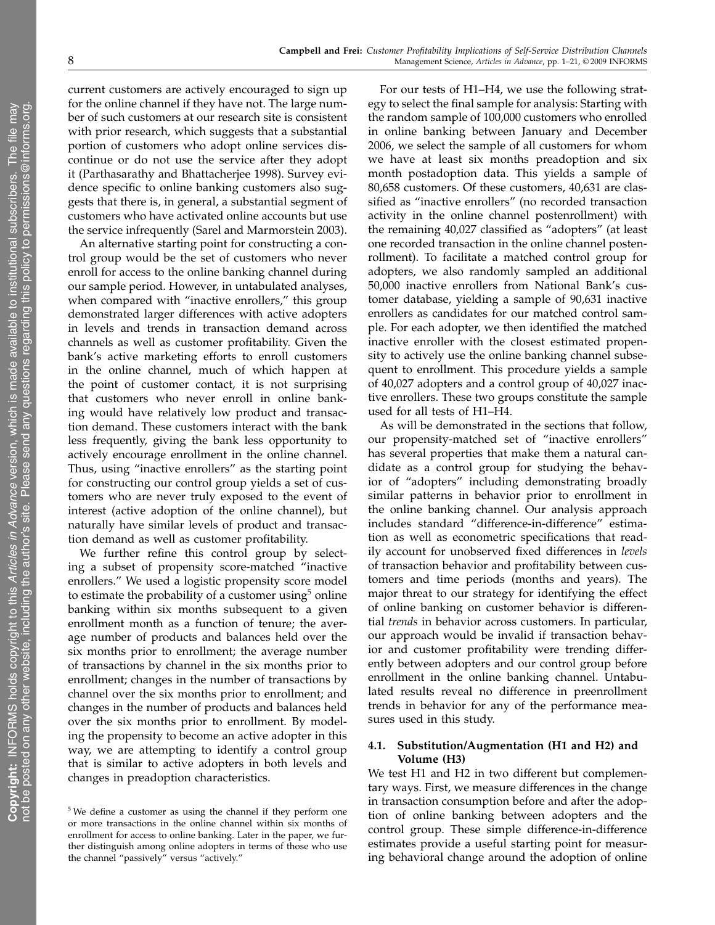current customers are actively encouraged to sign up for the online channel if they have not. The large number of such customers at our research site is consistent with prior research, which suggests that a substantial portion of customers who adopt online services discontinue or do not use the service after they adopt it (Parthasarathy and Bhattacherjee 1998). Survey evidence specific to online banking customers also suggests that there is, in general, a substantial segment of customers who have activated online accounts but use the service infrequently (Sarel and Marmorstein 2003).

An alternative starting point for constructing a control group would be the set of customers who never enroll for access to the online banking channel during our sample period. However, in untabulated analyses, when compared with "inactive enrollers," this group demonstrated larger differences with active adopters in levels and trends in transaction demand across channels as well as customer profitability. Given the bank's active marketing efforts to enroll customers in the online channel, much of which happen at the point of customer contact, it is not surprising that customers who never enroll in online banking would have relatively low product and transaction demand. These customers interact with the bank less frequently, giving the bank less opportunity to actively encourage enrollment in the online channel. Thus, using "inactive enrollers" as the starting point for constructing our control group yields a set of customers who are never truly exposed to the event of interest (active adoption of the online channel), but naturally have similar levels of product and transaction demand as well as customer profitability.

We further refine this control group by selecting a subset of propensity score-matched "inactive enrollers." We used a logistic propensity score model to estimate the probability of a customer using $5$  online banking within six months subsequent to a given enrollment month as a function of tenure; the average number of products and balances held over the six months prior to enrollment; the average number of transactions by channel in the six months prior to enrollment; changes in the number of transactions by channel over the six months prior to enrollment; and changes in the number of products and balances held over the six months prior to enrollment. By modeling the propensity to become an active adopter in this way, we are attempting to identify a control group that is similar to active adopters in both levels and changes in preadoption characteristics.

For our tests of H1-H4, we use the following strategy to select the final sample for analysis: Starting with the random sample of 100,000 customers who enrolled in online banking between January and December 2006, we select the sample of all customers for whom we have at least six months preadoption and six month postadoption data. This yields a sample of 80,658 customers. Of these customers, 40,631 are classified as "inactive enrollers" (no recorded transaction activity in the online channel postenrollment) with the remaining 40,027 classified as "adopters" (at least one recorded transaction in the online channel postenrollment). To facilitate a matched control group for adopters, we also randomly sampled an additional 50,000 inactive enrollers from National Bank's customer database, yielding a sample of 90,631 inactive enrollers as candidates for our matched control sample. For each adopter, we then identified the matched inactive enroller with the closest estimated propensity to actively use the online banking channel subsequent to enrollment. This procedure yields a sample of 40,027 adopters and a control group of 40,027 inactive enrollers. These two groups constitute the sample used for all tests of H1–H4.

As will be demonstrated in the sections that follow, our propensity-matched set of "inactive enrollers" has several properties that make them a natural candidate as a control group for studying the behavior of "adopters" including demonstrating broadly similar patterns in behavior prior to enrollment in the online banking channel. Our analysis approach includes standard "difference-in-difference" estimation as well as econometric specifications that readily account for unobserved fixed differences in levels of transaction behavior and profitability between customers and time periods (months and years). The major threat to our strategy for identifying the effect of online banking on customer behavior is differential trends in behavior across customers. In particular, our approach would be invalid if transaction behavior and customer profitability were trending differently between adopters and our control group before enrollment in the online banking channel. Untabulated results reveal no difference in preenrollment trends in behavior for any of the performance measures used in this study.

### 4.1. Substitution/Augmentation (H1 and H2) and Volume (H3)

We test H1 and H2 in two different but complementary ways. First, we measure differences in the change in transaction consumption before and after the adoption of online banking between adopters and the control group. These simple difference-in-difference estimates provide a useful starting point for measuring behavioral change around the adoption of online

<sup>&</sup>lt;sup>5</sup> We define a customer as using the channel if they perform one or more transactions in the online channel within six months of enrollment for access to online banking. Later in the paper, we further distinguish among online adopters in terms of those who use the channel "passively" versus "actively."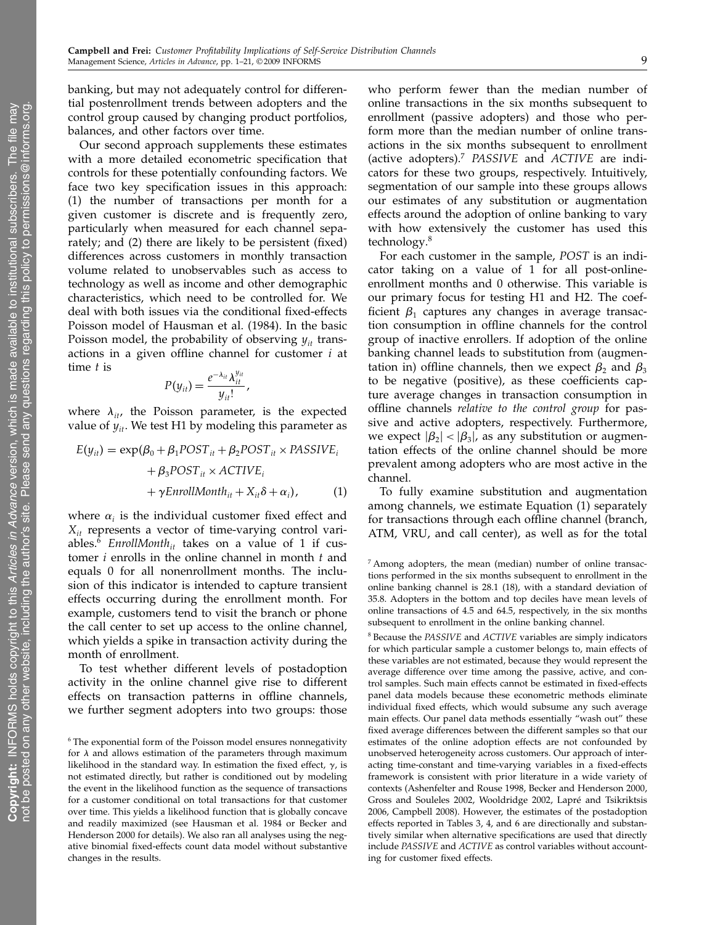banking, but may not adequately control for differential postenrollment trends between adopters and the control group caused by changing product portfolios, balances, and other factors over time.

Our second approach supplements these estimates with a more detailed econometric specification that controls for these potentially confounding factors. We face two key specification issues in this approach: (1) the number of transactions per month for a given customer is discrete and is frequently zero, particularly when measured for each channel separately; and (2) there are likely to be persistent (fixed) differences across customers in monthly transaction volume related to unobservables such as access to technology as well as income and other demographic characteristics, which need to be controlled for. We deal with both issues via the conditional fixed-effects Poisson model of Hausman et al. (1984). In the basic Poisson model, the probability of observing  $y_{it}$  transactions in a given offline channel for customer i at time *t* is

$$
P(y_{it}) = \frac{e^{-\lambda_{it}} \lambda_{it}^{y_{it}}}{y_{it}!},
$$

where  $\lambda_{it}$ , the Poisson parameter, is the expected value of  $y_{it}$ . We test H1 by modeling this parameter as

$$
E(y_{it}) = \exp(\beta_0 + \beta_1 POST_{it} + \beta_2 POST_{it} \times PASSIVE_i
$$
  
+  $\beta_3 POST_{it} \times ACTIVE_i$   
+  $\gamma EnrollMonth_{it} + X_{it}\delta + \alpha_i$ , (1)

where  $\alpha_i$  is the individual customer fixed effect and  $X_{it}$  represents a vector of time-varying control variables.<sup>6</sup> EnrollMonth<sub>it</sub> takes on a value of 1 if customer  $i$  enrolls in the online channel in month  $t$  and equals 0 for all nonenrollment months. The inclusion of this indicator is intended to capture transient effects occurring during the enrollment month. For example, customers tend to visit the branch or phone the call center to set up access to the online channel, which yields a spike in transaction activity during the month of enrollment.

To test whether different levels of postadoption activity in the online channel give rise to different effects on transaction patterns in offline channels, we further segment adopters into two groups: those

who perform fewer than the median number of online transactions in the six months subsequent to enrollment (passive adopters) and those who perform more than the median number of online transactions in the six months subsequent to enrollment (active adopters).<sup>7</sup> PASSIVE and ACTIVE are indicators for these two groups, respectively. Intuitively, segmentation of our sample into these groups allows our estimates of any substitution or augmentation effects around the adoption of online banking to vary with how extensively the customer has used this technology.<sup>8</sup>

For each customer in the sample, POST is an indicator taking on a value of 1 for all post-onlineenrollment months and 0 otherwise. This variable is our primary focus for testing H1 and H2. The coefficient  $\beta_1$  captures any changes in average transaction consumption in offline channels for the control group of inactive enrollers. If adoption of the online banking channel leads to substitution from (augmentation in) offline channels, then we expect  $\beta_2$  and  $\beta_3$ to be negative (positive), as these coefficients capture average changes in transaction consumption in offline channels *relative to the control group* for passive and active adopters, respectively. Furthermore, we expect  $|\beta_2|$  <  $|\beta_3|$ , as any substitution or augmentation effects of the online channel should be more prevalent among adopters who are most active in the channel.

To fully examine substitution and augmentation among channels, we estimate Equation (1) separately for transactions through each offline channel (branch, ATM, VRU, and call center), as well as for the total

<sup>&</sup>lt;sup>6</sup> The exponential form of the Poisson model ensures nonnegativity for  $\lambda$  and allows estimation of the parameters through maximum likelihood in the standard way. In estimation the fixed effect,  $\gamma$ , is not estimated directly, but rather is conditioned out by modeling the event in the likelihood function as the sequence of transactions for a customer conditional on total transactions for that customer over time. This yields a likelihood function that is globally concave and readily maximized (see Hausman et al. 1984 or Becker and Henderson 2000 for details). We also ran all analyses using the negative binomial fixed-effects count data model without substantive changes in the results.

<sup>7</sup> Among adopters, the mean (median) number of online transactions performed in the six months subsequent to enrollment in the online banking channel is 28.1 (18), with a standard deviation of 35.8. Adopters in the bottom and top deciles have mean levels of online transactions of 4.5 and 64.5, respectively, in the six months subsequent to enrollment in the online banking channel.

<sup>8</sup> Because the PASSIVE and ACTIVE variables are simply indicators for which particular sample a customer belongs to, main effects of these variables are not estimated, because they would represent the average difference over time among the passive, active, and control samples. Such main effects cannot be estimated in fixed-effects panel data models because these econometric methods eliminate individual fixed effects, which would subsume any such average main effects. Our panel data methods essentially "wash out" these fixed average differences between the different samples so that our estimates of the online adoption effects are not confounded by unobserved heterogeneity across customers. Our approach of interacting time-constant and time-varying variables in a fixed-effects framework is consistent with prior literature in a wide variety of contexts (Ashenfelter and Rouse 1998, Becker and Henderson 2000, Gross and Souleles 2002, Wooldridge 2002, Lapré and Tsikriktsis 2006, Campbell 2008). However, the estimates of the postadoption effects reported in Tables 3, 4, and 6 are directionally and substantively similar when alternative specifications are used that directly include PASSIVE and ACTIVE as control variables without accounting for customer fixed effects.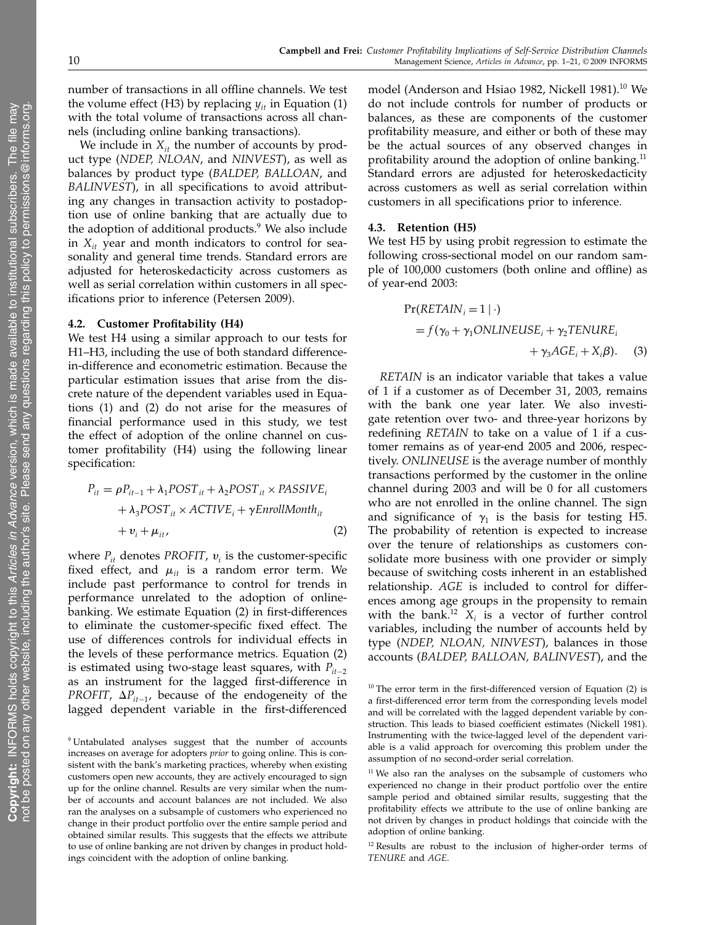$\geq$ 

number of transactions in all offline channels. We test the volume effect (H3) by replacing  $y_{it}$  in Equation (1) with the total volume of transactions across all channels (including online banking transactions).

We include in  $X_{it}$  the number of accounts by product type(NDEP, NLOAN, and NINVEST), as well as balances by product type (BALDEP, BALLOAN, and BALINVEST), in all specifications to avoid attributing any changes in transaction activity to postadoption use of online banking that are actually due to the adoption of additional products.<sup>9</sup> We also include in  $X_{it}$  year and month indicators to control for seasonality and general time trends. Standard errors are adjusted for heteroskedacticity across customers as well as serial correlation within customers in all specifications prior to inference (Petersen 2009).

#### 4.2. Customer Profitability (H4)

We test H4 using a similar approach to our tests for H1–H3, including the use of both standard differencein-difference and econometric estimation. Because the particular estimation issues that arise from the discrete nature of the dependent variables used in Equations  $(1)$  and  $(2)$  do not arise for the measures of financial performance used in this study, we test the effect of adoption of the online channel on customer profitability (H4) using the following linear specification:

$$
P_{it} = \rho P_{it-1} + \lambda_1 POST_{it} + \lambda_2 POST_{it} \times PASSIVE_i
$$
  
+  $\lambda_3 POST_{it} \times ACTIVE_i + \gamma EnrollMonth_{it}$   
+  $v_i + \mu_{it}$ , (2)

where  $P_{it}$  denotes *PROFIT*,  $v_i$  is the customer-specific fixed effect, and  $\mu_{it}$  is a random error term. We include past performance to control for trends in performance unrelated to the adoption of onlinebanking. We estimate Equation (2) in first-differences to eliminate the customer-specific fixed effect. The use of differences controls for individual effects in the levels of these performance metrics. Equation (2) is estimated using two-stage least squares, with  $P_{it-2}$ as an instrument for the lagged first-difference in PROFIT,  $\Delta P_{it-1}$ , because of the endogeneity of the lagged dependent variable in the first-differenced

<sup>9</sup> Untabulated analyses suggest that the number of accounts increases on average for adopters prior to going online. This is consistent with the bank's marketing practices, whereby when existing customers open new accounts, they are actively encouraged to sign up for the online channel. Results are very similar when the number of accounts and account balances are not included. We also ran the analyses on a subsample of customers who experienced no change in their product portfolio over the entire sample period and obtained similar results. This suggests that the effects we attribute to use of online banking are not driven by changes in product holdings coincident with the adoption of online banking.

model (Anderson and Hsiao 1982, Nickell 1981).<sup>10</sup> We do not include controls for number of products or balances, as these are components of the customer profitability measure, and either or both of these may be the actual sources of any observed changes in profitability around the adoption of online banking. $11$ Standard errors are adjusted for heteroskedacticity across customers as well as serial correlation within customers in all specifications prior to inference.

#### 4.3. Retention (H5)

We test H5 by using probit regression to estimate the following cross-sectional model on our random sample of 100,000 customers (both online and offline) as of year-end 2003:

$$
Pr(RETAIN_i = 1 | \cdot)
$$
  
=  $f(\gamma_0 + \gamma_1 ONLINEUSE_i + \gamma_2 TENURE_i + \gamma_3AGE_i + X_i\beta)$ . (3)

 $RETAIN$  is an indicator variable that takes a value of 1 if a customer as of December 31, 2003, remains with the bank one year later. We also investigate retention over two- and three-year horizons by redefining RETAIN to take on a value of 1 if a customer remains as of year-end 2005 and 2006, respectively. ONLINEUSE is the average number of monthly transactions performed by the customer in the online channel during 2003 and will be 0 for all customers who are not enrolled in the online channel. The sign and significance of  $\gamma_1$  is the basis for testing H5. The probability of retention is expected to increase over the tenure of relationships as customers consolidate more business with one provider or simply because of switching costs inherent in an established relationship. AGE is included to control for differences among age groups in the propensity to remain with the bank.<sup>12</sup>  $X_i$  is a vector of further control variables, including the number of accounts held by type(NDEP, NLOAN, NINVEST), balances in those accounts (BALDEP, BALLOAN, BALINVEST), and the

<sup>&</sup>lt;sup>10</sup> The error term in the first-differenced version of Equation (2) is a first-differenced error term from the corresponding levels model and will be correlated with the lagged dependent variable by construction. This leads to biased coefficient estimates (Nickell 1981). Instrumenting with the twice-lagged level of the dependent variable is a valid approach for overcoming this problem under the assumption of no second-order serial correlation.

 $11$  We also ran the analyses on the subsample of customers who experienced no change in their product portfolio over the entire sample period and obtained similar results, suggesting that the profitability effects we attribute to the use of online banking are not driven by changes in product holdings that coincide with the adoption of online banking.

<sup>&</sup>lt;sup>12</sup> Results are robust to the inclusion of higher-order terms of TENURE and AGE.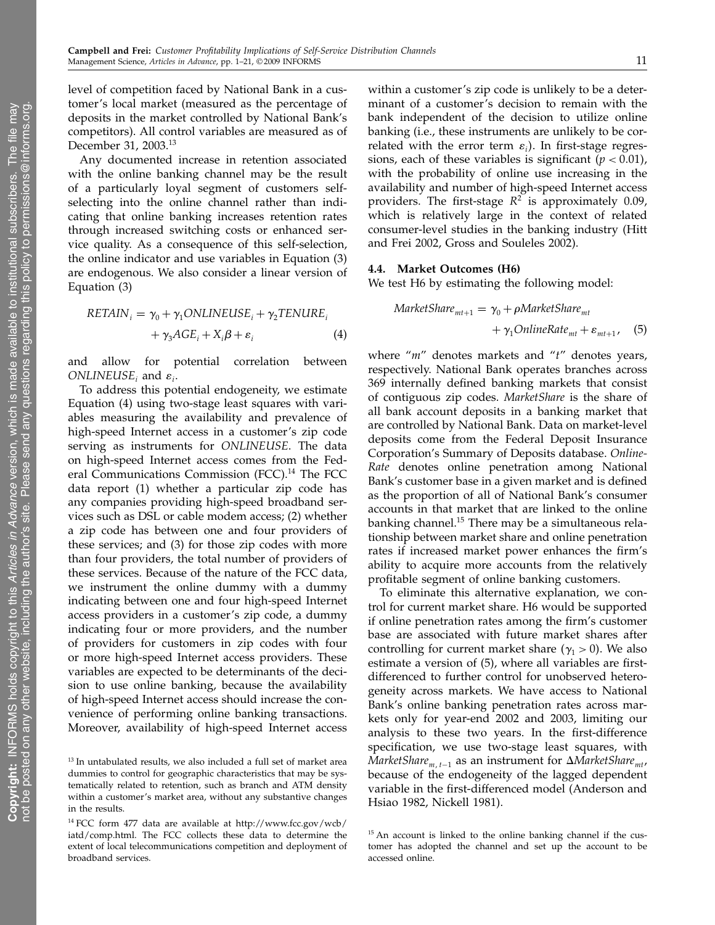level of competition faced by National Bank in a customer's local market (measured as the percentage of deposits in the market controlled by National Bank's competitors). All control variables are measured as of December 31, 2003.<sup>13</sup>

Any documented increase in retention associated with the online banking channel may be the result of a particularly loyal segment of customers selfselecting into the online channel rather than indicating that online banking increases retention rates through increased switching costs or enhanced service quality. As a consequence of this self-selection, the online indicator and use variables in Equation  $(3)$ are endogenous. We also consider a linear version of Equation (3)

$$
RETAINi = \gamma_0 + \gamma_1ONLINEUSEi + \gamma_2TENUREi + \gamma_3AGEi + Xiβ + \varepsiloni
$$
 (4)

and allow for potential correlation between ONLINEUSE, and  $\varepsilon_i$ .

To address this potential endogeneity, we estimate Equation (4) using two-stage least squares with variables measuring the availability and prevalence of high-speed Internet access in a customer's zip code serving as instruments for *ONLINEUSE*. The data on high-speed Internet access comes from the Federal Communications Commission (FCC).<sup>14</sup> The FCC data report (1) whether a particular zip code has any companies providing high-speed broadband services such as DSL or cable modem access; (2) whether a zip code has between one and four providers of these services; and (3) for those zip codes with more than four providers, the total number of providers of these services. Because of the nature of the FCC data, we instrument the online dummy with a dummy indicating between one and four high-speed Internet access providers in a customer's zip code, a dummy indicating four or more providers, and the number of providers for customers in zip codes with four or more high-speed Internet access providers. These variables are expected to be determinants of the decision to use online banking, because the availability of high-speed Internet access should increase the convenience of performing online banking transactions. Moreover, availability of high-speed Internet access

within a customer's zip code is unlikely to be a determinant of a customer's decision to remain with the bank independent of the decision to utilize online banking (i.e., these instruments are unlikely to be correlated with the error term  $\varepsilon_i$ ). In first-stage regressions, each of these variables is significant ( $p < 0.01$ ), with the probability of online use increasing in the availability and number of high-speed Internet access providers. The first-stage  $R^2$  is approximately 0.09, which is relatively large in the context of related consumer-level studies in the banking industry (Hitt and Frei 2002, Gross and Souleles 2002).

#### 4.4. Market Outcomes (H6)

We test H6 by estimating the following model:

$$
MarketShare_{mt+1} = \gamma_0 + \rho MarketShare_{mt} + \gamma_1 OnlineRate_{mt} + \varepsilon_{mt+1},
$$
 (5)

where "m" denotes markets and "t" denotes years, respectively. National Bank operates branches across 369 internally defined banking markets that consist of contiguous zip codes. MarketShare is the share of all bank account deposits in a banking market that are controlled by National Bank. Data on market-level deposits come from the Federal Deposit Insurance Corporation's Summary of Deposits database. Online-Rate denotes online penetration among National Bank's customer base in a given market and is defined as the proportion of all of National Bank's consumer accounts in that market that are linked to the online banking channel.<sup>15</sup> There may be a simultaneous relationship between market share and online penetration rates if increased market power enhances the firm's ability to acquire more accounts from the relatively profitable segment of online banking customers.

To eliminate this alternative explanation, we control for current market share. H6 would be supported if online penetration rates among the firm's customer base are associated with future market shares after controlling for current market share ( $\gamma_1 > 0$ ). We also estimate a version of (5), where all variables are firstdifferenced to further control for unobserved heterogeneity across markets. We have access to National Bank's online banking penetration rates across markets only for year-end 2002 and 2003, limiting our analysis to these two years. In the first-difference specification, we use two-stage least squares, with *MarketShare*<sub>m, t−1</sub> as an instrument for  $\Delta$ *MarketShare*<sub>mt</sub>, because of the endogeneity of the lagged dependent variable in the first-differenced model (Anderson and Hsiao 1982, Nickell 1981).

<sup>&</sup>lt;sup>13</sup> In untabulated results, we also included a full set of market area dummies to control for geographic characteristics that may be systematically related to retention, such as branch and ATM density within a customer's market area, without any substantive changes in the results.

 $14$  FCC form 477 data are available at http://www.fcc.gov/wcb/ iatd/comp.html. The FCC collects these data to determine the extent of local telecommunications competition and deployment of broadband services.

 $15$  An account is linked to the online banking channel if the customer has adopted the channel and set up the account to be accessed online.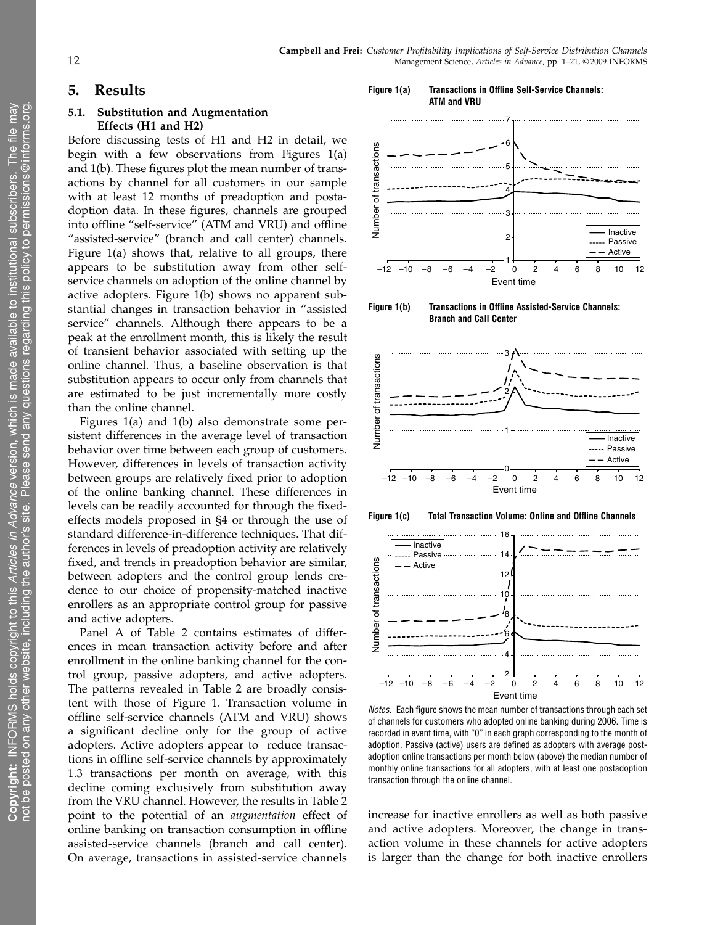# 5. Results

## 5.1. Substitution and Augmentation Effects (H1 and H2)

Before discussing tests of H1 and H2 in detail, we begin with a few observations from Figures 1(a) and 1(b). These figures plot the mean number of transactions by channel for all customers in our sample with at least 12 months of preadoption and postadoption data. In these figures, channels are grouped into offline "self-service" (ATM and VRU) and offline "assisted-service" (branch and call center) channels. Figure  $1(a)$  shows that, relative to all groups, there appears to be substitution away from other selfservice channels on adoption of the online channel by active adopters. Figure  $1(b)$  shows no apparent substantial changes in transaction behavior in "assisted service" channels. Although there appears to be a peak at the enrollment month, this is likely the result of transient behavior associated with setting up the online channel. Thus, a baseline observation is that substitution appears to occur only from channels that are estimated to be just incrementally more costly than the online channel.

Figures 1(a) and 1(b) also demonstrate some persistent differences in the average level of transaction behavior over time between each group of customers. However, differences in levels of transaction activity between groups are relatively fixed prior to adoption of the online banking channel. These differences in levels can be readily accounted for through the fixedeffects models proposed in §4 or through the use of standard difference-in-difference techniques. That differences in levels of preadoption activity are relatively fixed, and trends in preadoption behavior are similar, between adopters and the control group lends credence to our choice of propensity-matched inactive enrollers as an appropriate control group for passive and active adopters.

Panel A of Table 2 contains estimates of differences in mean transaction activity before and after enrollment in the online banking channel for the control group, passive adopters, and active adopters. The patterns revealed in Table 2 are broadly consistent with those of Figure 1. Transaction volume in offline self-service channels (ATM and VRU) shows a significant decline only for the group of active adopters. Active adopters appear to reduce transactions in offline self-service channels by approximately 1.3 transactions per month on average, with this decline coming exclusively from substitution away from the VRU channel. However, the results in Table 2 point to the potential of an augmentation effect of online banking on transaction consumption in offline assisted-service channels (branch and call center). On average, transactions in assisted-service channels

Figure 1(a) Transactions in Offline Self-Service Channels: ATM and VRU



Figure 1(b) Transactions in Offline Assisted-Service Channels: Branch and Call Center



Figure 1(c) Total Transaction Volume: Online and Offline Channels



Notes. Each figure shows the mean number of transactions through each set of channels for customers who adopted online banking during 2006. Time is recorded in event time, with "0" in each graph corresponding to the month of adoption. Passive (active) users are defined as adopters with average postadoption online transactions per month below (above) the median number of monthly online transactions for all adopters, with at least one postadoption transaction through the online channel.

increase for inactive enrollers as well as both passive and active adopters. Moreover, the change in transaction volume in these channels for active adopters is larger than the change for both inactive enrollers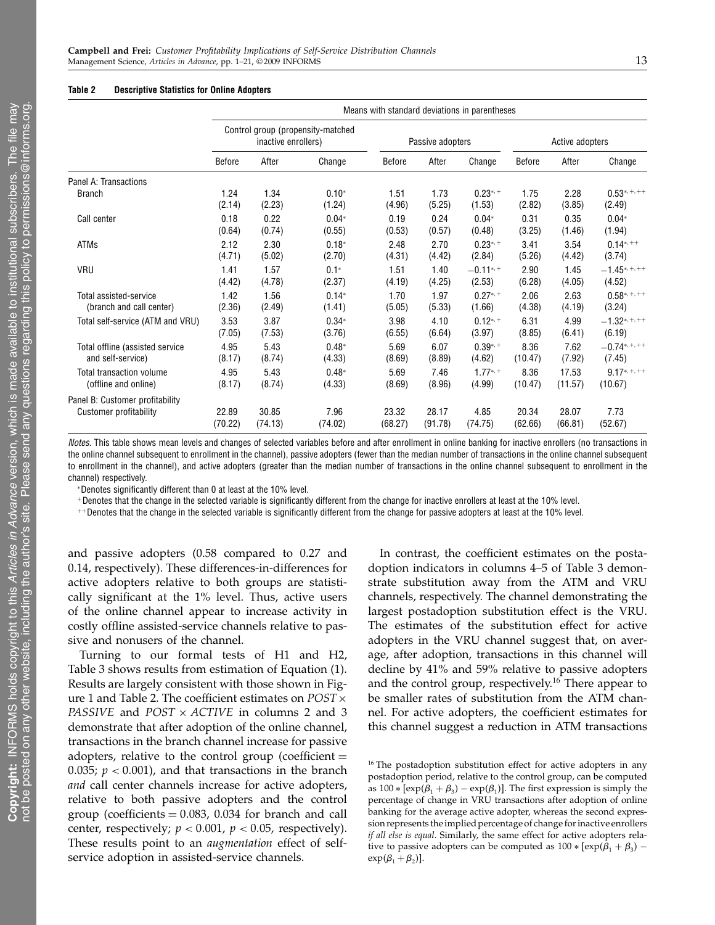#### Table 2 Descriptive Statistics for Online Adopters

|                                  | Means with standard deviations in parentheses |                     |                                   |                  |         |                         |                 |         |                  |
|----------------------------------|-----------------------------------------------|---------------------|-----------------------------------|------------------|---------|-------------------------|-----------------|---------|------------------|
|                                  |                                               | inactive enrollers) | Control group (propensity-matched | Passive adopters |         |                         | Active adopters |         |                  |
|                                  | <b>Before</b>                                 | After               | Change                            | <b>Before</b>    | After   | Change                  | <b>Before</b>   | After   | Change           |
| Panel A: Transactions            |                                               |                     |                                   |                  |         |                         |                 |         |                  |
| <b>Branch</b>                    | 1.24                                          | 1.34                | $0.10*$                           | 1.51             | 1.73    | $0.23^{*,+}$            | 1.75            | 2.28    | $0.53$ *, +, ++  |
|                                  | (2.14)                                        | (2.23)              | (1.24)                            | (4.96)           | (5.25)  | (1.53)                  | (2.82)          | (3.85)  | (2.49)           |
| Call center                      | 0.18                                          | 0.22                | $0.04*$                           | 0.19             | 0.24    | $0.04*$                 | 0.31            | 0.35    | $0.04*$          |
|                                  | (0.64)                                        | (0.74)              | (0.55)                            | (0.53)           | (0.57)  | (0.48)                  | (3.25)          | (1.46)  | (1.94)           |
| <b>ATMs</b>                      | 2.12                                          | 2.30                | $0.18*$                           | 2.48             | 2.70    | $0.23$ *, +             | 3.41            | 3.54    | $0.14$ *, ++     |
|                                  | (4.71)                                        | (5.02)              | (2.70)                            | (4.31)           | (4.42)  | (2.84)                  | (5.26)          | (4.42)  | (3.74)           |
| <b>VRU</b>                       | 1.41                                          | 1.57                | $0.1*$                            | 1.51             | 1.40    | $-0.11$ <sup>*, +</sup> | 2.90            | 1.45    | $-1.45$ *, +, ++ |
|                                  | (4.42)                                        | (4.78)              | (2.37)                            | (4.19)           | (4.25)  | (2.53)                  | (6.28)          | (4.05)  | (4.52)           |
| Total assisted-service           | 1.42                                          | 1.56                | $0.14*$                           | 1.70             | 1.97    | $0.27$ *, +             | 2.06            | 2.63    | $0.58$ *, +, ++  |
| (branch and call center)         | (2.36)                                        | (2.49)              | (1.41)                            | (5.05)           | (5.33)  | (1.66)                  | (4.38)          | (4.19)  | (3.24)           |
| Total self-service (ATM and VRU) | 3.53                                          | 3.87                | $0.34*$                           | 3.98             | 4.10    | $0.12$ *, +             | 6.31            | 4.99    | $-1.32$ *, +, ++ |
|                                  | (7.05)                                        | (7.53)              | (3.76)                            | (6.55)           | (6.64)  | (3.97)                  | (8.85)          | (6.41)  | (6.19)           |
| Total offline (assisted service  | 4.95                                          | 5.43                | $0.48*$                           | 5.69             | 6.07    | $0.39**$                | 8.36            | 7.62    | $-0.74$ *, +, ++ |
| and self-service)                | (8.17)                                        | (8.74)              | (4.33)                            | (8.69)           | (8.89)  | (4.62)                  | (10.47)         | (7.92)  | (7.45)           |
| Total transaction volume         | 4.95                                          | 5.43                | $0.48*$                           | 5.69             | 7.46    | $1.77$ *, +             | 8.36            | 17.53   | $9.17$ *, +, ++  |
| (offline and online)             | (8.17)                                        | (8.74)              | (4.33)                            | (8.69)           | (8.96)  | (4.99)                  | (10.47)         | (11.57) | (10.67)          |
| Panel B: Customer profitability  | 22.89                                         | 30.85               | 7.96                              | 23.32            | 28.17   | 4.85                    | 20.34           | 28.07   | 7.73             |
| <b>Customer profitability</b>    | (70.22)                                       | (74.13)             | (74.02)                           | (68.27)          | (91.78) | (74.75)                 | (62.66)         | (66.81) | (52.67)          |

Notes. This table shows mean levels and changes of selected variables before and after enrollment in online banking for inactive enrollers (no transactions in the online channel subsequent to enrollment in the channel), passive adopters (fewer than the median number of transactions in the online channel subsequent to enrollment in the channel), and active adopters (greater than the median number of transactions in the online channel subsequent to enrollment in the channel) respectively.

<sup>∗</sup>Denotes significantlydifferent than 0 at least at the 10% level.

+Denotes that the change in the selected variable is significantly different from the change for inactive enrollers at least at the 10% level.

++Denotes that the change in the selected variable is significantly different from the change for passive adopters at least at the 10% level.

and passive adopters (0.58 compared to 0.27 and 0.14, respectively). These differences-in-differences for active adopters relative to both groups are statistically significant at the 1% level. Thus, active users of the online channel appear to increase activity in costly offline assisted-service channels relative to passive and nonusers of the channel.

Turning to our formal tests of H1 and H2, Table 3 shows results from estimation of Equation (1). Results are largely consistent with those shown in Figure 1 and Table 2. The coefficient estimates on  $POST \times$ PASSIVE and  $POST \times ACTIVE$  in columns 2 and 3 demonstrate that after adoption of the online channel, transactions in the branch channel increase for passive adopters, relative to the control group (coefficient  $=$ 0.035;  $p < 0.001$ ), and that transactions in the branch and call center channels increase for active adopters, relative to both passive adopters and the control group (coefficients  $= 0.083$ , 0.034 for branch and call center, respectively;  $p < 0.001$ ,  $p < 0.05$ , respectively). These results point to an *augmentation* effect of selfservice adoption in assisted-service channels.

In contrast, the coefficient estimates on the postadoption indicators in columns 4–5 of Table 3 demonstrate substitution away from the ATM and VRU channels, respectively. The channel demonstrating the largest postadoption substitution effect is the VRU. The estimates of the substitution effect for active adopters in the VRU channel suggest that, on average, after adoption, transactions in this channel will decline by 41% and 59% relative to passive adopters and the control group, respectively.<sup>16</sup> There appear to be smaller rates of substitution from the ATM channel. For active adopters, the coefficient estimates for this channel suggest a reduction in ATM transactions

<sup>&</sup>lt;sup>16</sup> The postadoption substitution effect for active adopters in any postadoption period, relative to the control group, can be computed as  $100 * [exp(\beta_1 + \beta_3) - exp(\beta_1)].$  The first expression is simply the percentage of change in VRU transactions after adoption of online banking for the average active adopter, whereas the second expression represents the implied percentage of change for inactive enrollers if all else is equal. Similarly, the same effect for active adopters relative to passive adopters can be computed as  $100 * [exp(\beta_1 + \beta_3) \exp(\beta_1 + \beta_2)$ .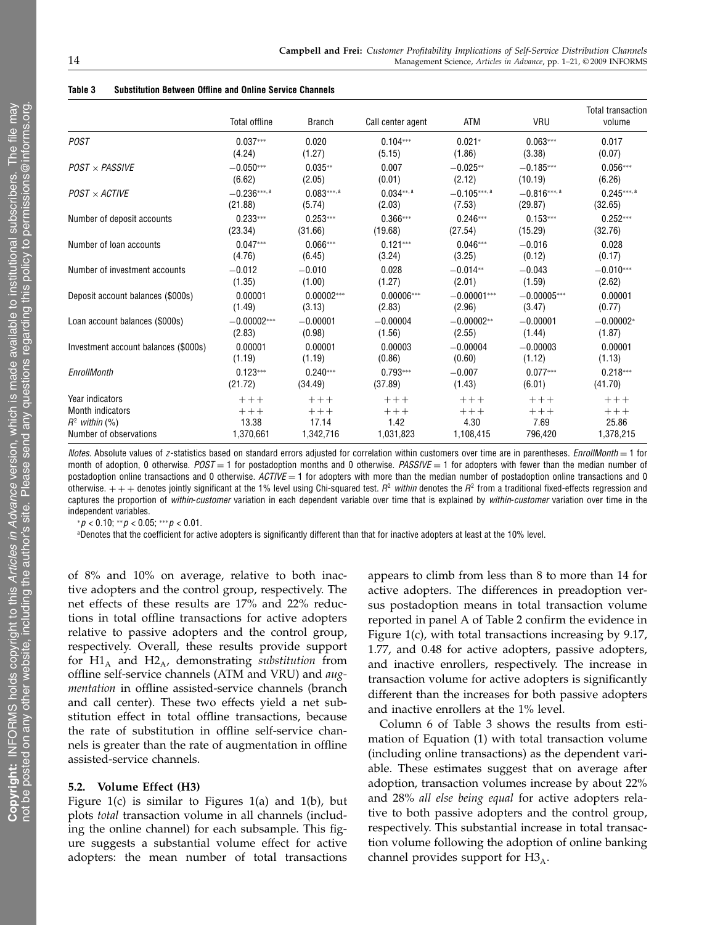|                                      | <b>Total offline</b> | <b>Branch</b>  | Call center agent | <b>ATM</b>      | <b>VRU</b>      | <b>Total transaction</b><br>volume |
|--------------------------------------|----------------------|----------------|-------------------|-----------------|-----------------|------------------------------------|
| <b>POST</b>                          | $0.037***$           | 0.020          | $0.104***$        | $0.021*$        | $0.063***$      | 0.017                              |
|                                      | (4.24)               | (1.27)         | (5.15)            | (1.86)          | (3.38)          | (0.07)                             |
| $POST \times PASSIVE$                | $-0.050***$          | $0.035**$      | 0.007             | $-0.025**$      | $-0.185***$     | $0.056***$                         |
|                                      | (6.62)               | (2.05)         | (0.01)            | (2.12)          | (10.19)         | (6.26)                             |
| $POST \times ACTIVE$                 | $-0.236***$ , a      | $0.083***$ , a | $0.034***$ , a    | $-0.105***$ , a | $-0.816***$ , a | $0.245***$ , a                     |
|                                      | (21.88)              | (5.74)         | (2.03)            | (7.53)          | (29.87)         | (32.65)                            |
| Number of deposit accounts           | $0.233***$           | $0.253***$     | $0.366***$        | $0.246***$      | $0.153***$      | $0.252***$                         |
|                                      | (23.34)              | (31.66)        | (19.68)           | (27.54)         | (15.29)         | (32.76)                            |
| Number of loan accounts              | $0.047***$           | $0.066***$     | $0.121***$        | $0.046***$      | $-0.016$        | 0.028                              |
|                                      | (4.76)               | (6.45)         | (3.24)            | (3.25)          | (0.12)          | (0.17)                             |
| Number of investment accounts        | $-0.012$             | $-0.010$       | 0.028             | $-0.014**$      | $-0.043$        | $-0.010***$                        |
|                                      | (1.35)               | (1.00)         | (1.27)            | (2.01)          | (1.59)          | (2.62)                             |
| Deposit account balances (\$000s)    | 0.00001              | $0.00002***$   | $0.00006***$      | $-0.00001***$   | $-0.00005***$   | 0.00001                            |
|                                      | (1.49)               | (3.13)         | (2.83)            | (2.96)          | (3.47)          | (0.77)                             |
| Loan account balances (\$000s)       | $-0.00002***$        | $-0.00001$     | $-0.00004$        | $-0.00002**$    | $-0.00001$      | $-0.00002*$                        |
|                                      | (2.83)               | (0.98)         | (1.56)            | (2.55)          | (1.44)          | (1.87)                             |
| Investment account balances (\$000s) | 0.00001              | 0.00001        | 0.00003           | $-0.00004$      | $-0.00003$      | 0.00001                            |
|                                      | (1.19)               | (1.19)         | (0.86)            | (0.60)          | (1.12)          | (1.13)                             |
| EnrollMonth                          | $0.123***$           | $0.240***$     | $0.793***$        | $-0.007$        | $0.077***$      | $0.218***$                         |
|                                      | (21.72)              | (34.49)        | (37.89)           | (1.43)          | (6.01)          | (41.70)                            |
| Year indicators                      | $+++$                | $+++$          | $+++$             | $+++$           | $+++$           | $+++$                              |
| Month indicators                     | $+++$                | $+++$          | $++++$            | $+++$           | $+++$           | $+++$                              |
| $R^2$ within $(\%)$                  | 13.38                | 17.14          | 1.42              | 4.30            | 7.69            | 25.86                              |
| Number of observations               | 1,370,661            | 1,342,716      | 1,031,823         | 1,108,415       | 796,420         | 1,378,215                          |

### Table 3 Substitution Between Offline and Online Service Channels

Notes. Absolute values of z-statistics based on standard errors adjusted for correlation within customers over time are in parentheses. EnrollMonth = 1 for month of adoption, 0 otherwise. POST = 1 for postadoption months and 0 otherwise. PASSIVE = 1 for adopters with fewer than the median number of postadoption online transactions and 0 otherwise.  $ACTIVE = 1$  for adopters with more than the median number of postadoption online transactions and 0 otherwise.  $++$  denotes jointly significant at the 1% level using Chi-squared test.  $R^2$  within denotes the  $R^2$  from a traditional fixed-effects regression and captures the proportion of within-customer variation in each dependent variable over time that is explained by within-customer variation over time in the independent variables.

 ${}^*p < 0.10;$   ${}^{**}p < 0.05;$   ${}^{***}p < 0.01.$ 

a Denotes that the coefficient for active adopters is significantlydifferent than that for inactive adopters at least at the 10% level.

of 8% and 10% on average, relative to both inactive adopters and the control group, respectively. The net effects of these results are 17% and 22% reductions in total offline transactions for active adopters relative to passive adopters and the control group, respectively. Overall, these results provide support for  $\mathrm{H1}_{A}$  and  $\mathrm{H2}_{A}$ , demonstrating substitution from offline self-service channels (ATM and VRU) and augmentation in offline assisted-service channels (branch and call center). These two effects yield a net substitution effect in total offline transactions, because the rate of substitution in offline self-service channels is greater than the rate of augmentation in offline assisted-service channels.

### 5.2. Volume Effect (H3)

Figure  $1(c)$  is similar to Figures  $1(a)$  and  $1(b)$ , but plots total transaction volume in all channels (including the online channel) for each subsample. This figure suggests a substantial volume effect for active adopters: the mean number of total transactions

appears to climb from less than 8 to more than 14 for active adopters. The differences in preadoption versus postadoption means in total transaction volume reported in panel A of Table 2 confirm the evidence in Figure  $1(c)$ , with total transactions increasing by 9.17, 1.77, and 0.48 for active adopters, passive adopters, and inactive enrollers, respectively. The increase in transaction volume for active adopters is significantly different than the increases for both passive adopters and inactive enrollers at the 1% level.

Column 6 of Table 3 shows the results from estimation of Equation (1) with total transaction volume (including online transactions) as the dependent variable. These estimates suggest that on average after adoption, transaction volumes increase by about 22% and 28% all else being equal for active adopters relative to both passive adopters and the control group, respectively. This substantial increase in total transaction volume following the adoption of online banking channel provides support for  $H3_A$ .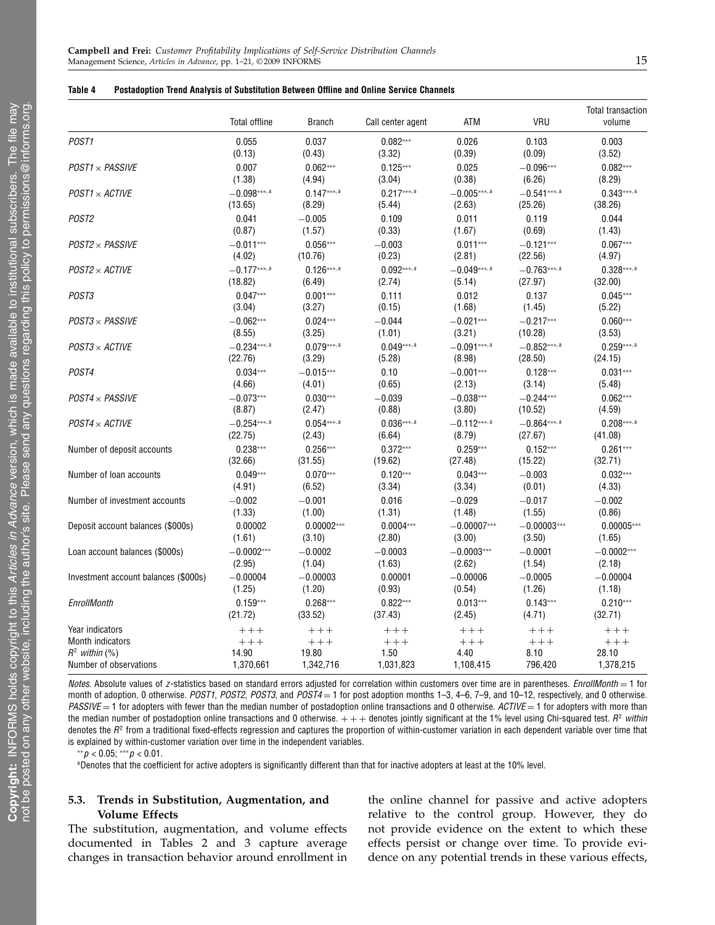### Table 4 Postadoption Trend Analysis of Substitution Between Offline and Online Service Channels

|                                      | <b>Total offline</b> | <b>Branch</b>  | Call center agent       | <b>ATM</b>      | VRU             | <b>Total transaction</b><br>volume |
|--------------------------------------|----------------------|----------------|-------------------------|-----------------|-----------------|------------------------------------|
| POST1                                | 0.055                | 0.037          | $0.082***$              | 0.026           | 0.103           | 0.003                              |
|                                      | (0.13)               | (0.43)         | (3.32)                  | (0.39)          | (0.09)          | (3.52)                             |
| POST1 x PASSIVE                      | 0.007                | $0.062***$     | $0.125***$              | 0.025           | $-0.096***$     | $0.082***$                         |
|                                      | (1.38)               | (4.94)         | (3.04)                  | (0.38)          | (6.26)          | (8.29)                             |
| $POST1 \times ACTIVE$                | $-0.098***$ , a      | $0.147***$ , a | $0.217***$ , a          | $-0.005***$ , a | $-0.541***$ , a | $0.343***$ , a                     |
|                                      | (13.65)              | (8.29)         | (5.44)                  | (2.63)          | (25.26)         | (38.26)                            |
| POST2                                | 0.041                | $-0.005$       | 0.109                   | 0.011           | 0.119           | 0.044                              |
|                                      | (0.87)               | (1.57)         | (0.33)                  | (1.67)          | (0.69)          | (1.43)                             |
| $POST2\times PASSIVE$                | $-0.011***$          | $0.056***$     | $-0.003$                | $0.011***$      | $-0.121***$     | $0.067***$                         |
|                                      | (4.02)               | (10.76)        | (0.23)                  | (2.81)          | (22.56)         | (4.97)                             |
| $POST2\times ACTIVE$                 | $-0.177***$ , a      | $0.126***$ , a | $0.092***$ , a          | $-0.049***$ , a | $-0.763***$ , a | $0.328***$ , a                     |
|                                      | (18.82)              | (6.49)         | (2.74)                  | (5.14)          | (27.97)         | (32.00)                            |
| POST3                                | $0.047***$           | $0.001***$     | 0.111                   | 0.012           | 0.137           | $0.045***$                         |
|                                      | (3.04)               | (3.27)         | (0.15)                  | (1.68)          | (1.45)          | (5.22)                             |
| $POST3\times PASSIVE$                | $-0.062***$          | $0.024***$     | $-0.044$                | $-0.021***$     | $-0.217***$     | $0.060***$                         |
|                                      | (8.55)               | (3.25)         | (1.01)                  | (3.21)          | (10.28)         | (3.53)                             |
| $POST3\times ACTIVE$                 | $-0.234***$ , a      | $0.079***$ , a | $0.049***$ , a          | $-0.091***$ , a | $-0.852***$ , a | $0.259***$ , a                     |
|                                      | (22.76)              | (3.29)         | (5.28)                  | (8.98)          | (28.50)         | (24.15)                            |
| POST4                                | $0.034***$           | $-0.015***$    | 0.10                    | $-0.001***$     | $0.128***$      | $0.031***$                         |
|                                      | (4.66)               | (4.01)         | (0.65)                  | (2.13)          | (3.14)          | (5.48)                             |
| $POS74\times PASSIVE$                | $-0.073***$          | $0.030***$     | $-0.039$                | $-0.038***$     | $-0.244***$     | $0.062***$                         |
|                                      | (8.87)               | (2.47)         | (0.88)                  | (3.80)          | (10.52)         | (4.59)                             |
| $POST4\times ACTIVE$                 | $-0.254***$ , a      | $0.054***$ , a | $0.036***$ <sup>4</sup> | $-0.112***$ , a | $-0.864***$ , a | $0.208***$ , a                     |
|                                      | (22.75)              | (2.43)         | (6.64)                  | (8.79)          | (27.67)         | (41.08)                            |
| Number of deposit accounts           | $0.238***$           | $0.256***$     | $0.372***$              | $0.259***$      | $0.152***$      | $0.261***$                         |
|                                      | (32.66)              | (31.55)        | (19.62)                 | (27.48)         | (15.22)         | (32.71)                            |
| Number of loan accounts              | $0.049***$           | $0.070***$     | $0.120***$              | $0.043***$      | $-0.003$        | $0.032***$                         |
|                                      | (4.91)               | (6.52)         | (3.34)                  | (3.34)          | (0.01)          | (4.33)                             |
| Number of investment accounts        | $-0.002$             | $-0.001$       | 0.016                   | $-0.029$        | $-0.017$        | $-0.002$                           |
|                                      | (1.33)               | (1.00)         | (1.31)                  | (1.48)          | (1.55)          | (0.86)                             |
| Deposit account balances (\$000s)    | 0.00002              | $0.00002***$   | $0.0004***$             | $-0.00007***$   | $-0.00003***$   | $0.00005***$                       |
|                                      | (1.61)               | (3.10)         | (2.80)                  | (3.00)          | (3.50)          | (1.65)                             |
| Loan account balances (\$000s)       | $-0.0002***$         | $-0.0002$      | $-0.0003$               | $-0.0003***$    | $-0.0001$       | $-0.0002***$                       |
|                                      | (2.95)               | (1.04)         | (1.63)                  | (2.62)          | (1.54)          | (2.18)                             |
| Investment account balances (\$000s) | $-0.00004$           | $-0.00003$     | 0.00001                 | $-0.00006$      | $-0.0005$       | $-0.00004$                         |
|                                      | (1.25)               | (1.20)         | (0.93)                  | (0.54)          | (1.26)          | (1.18)                             |
| EnrollMonth                          | $0.159***$           | $0.268***$     | $0.822***$              | $0.013***$      | $0.143***$      | $0.210***$                         |
|                                      | (21.72)              | (33.52)        | (37.43)                 | (2.45)          | (4.71)          | (32.71)                            |
| Year indicators                      | $+++$                | $+++$          | $+++$                   | $+++$           | $+++$           | $+++$                              |
| <b>Month indicators</b>              | $+++$                | $+++$          | $++++$                  | $+++$           | $+++$           | $+++$                              |
| $R^2$ within (%)                     | 14.90                | 19.80          | 1.50                    | 4.40            | 8.10            | 28.10                              |
| Number of observations               | 1,370,661            | 1,342,716      | 1,031,823               | 1,108,415       | 796,420         | 1,378,215                          |

Notes. Absolute values of z-statistics based on standard errors adjusted for correlation within customers over time are in parentheses. EnrollMonth = 1 for month of adoption, 0 otherwise. POST1, POST2, POST3, and POST4 = 1 for post adoption months  $1-3$ ,  $4-6$ ,  $7-9$ , and  $10-12$ , respectively, and 0 otherwise.  $PASSIVE = 1$  for adopters with fewer than the median number of postadoption online transactions and 0 otherwise.  $ACTIVE = 1$  for adopters with more than the median number of postadoption online transactions and 0 otherwise.  $++$  denotes jointly significant at the 1% level using Chi-squared test.  $R<sup>2</sup>$  within denotes the  $R^2$  from a traditional fixed-effects regression and captures the proportion of within-customer variation in each dependent variable over time that is explained by within-customer variation over time in the independent variables.

 $*$ \* $p$  < 0.05; \*\*\* $p$  < 0.01.

a Denotes that the coefficient for active adopters is significantlydifferent than that for inactive adopters at least at the 10% level.

### 5.3. Trends in Substitution, Augmentation, and Volume Effects

The substitution, augmentation, and volume effects documented in Tables 2 and 3 capture average changes in transaction behavior around enrollment in the online channel for passive and active adopters relative to the control group. However, they do not provide evidence on the extent to which these effects persist or change over time. To provide evidence on any potential trends in these various effects,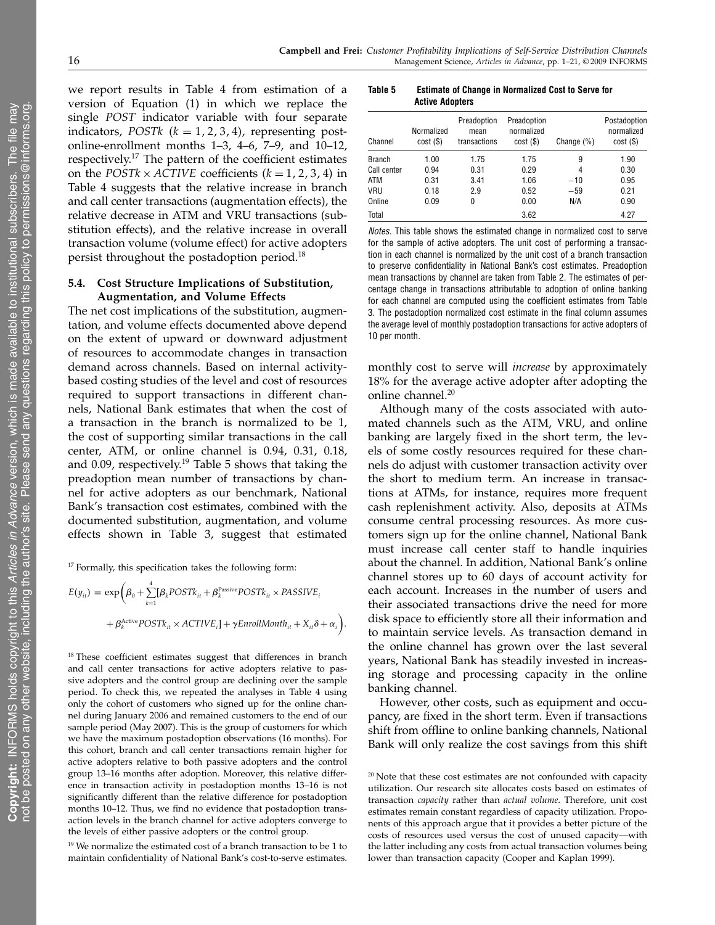we report results in Table 4 from estimation of a version of Equation (1) in which we replace the single POST indicator variable with four separate indicators, POSTk  $(k = 1, 2, 3, 4)$ , representing postonline-enrollment months 1–3, 4–6, 7–9, and 10–12, respectively.17 The pattern of the coefficient estimates on the *POSTk*  $\times$  *ACTIVE* coefficients ( $k = 1, 2, 3, 4$ ) in Table 4 suggests that the relative increase in branch and call center transactions (augmentation effects), the relative decrease in ATM and VRU transactions (substitution effects), and the relative increase in overall transaction volume (volume effect) for active adopters persist throughout the postadoption period.18

### 5.4. Cost Structure Implications of Substitution, Augmentation, and Volume Effects

The net cost implications of the substitution, augmentation, and volume effects documented above depend on the extent of upward or downward adjustment of resources to accommodate changes in transaction demand across channels. Based on internal activitybased costing studies of the level and cost of resources required to support transactions in different channels, National Bank estimates that when the cost of a transaction in the branch is normalized to be 1, the cost of supporting similar transactions in the call center, ATM, or online channel is 0.94, 0.31, 0.18, and 0.09, respectively.<sup>19</sup> Table 5 shows that taking the preadoption mean number of transactions by channel for active adopters as our benchmark, National Bank's transaction cost estimates, combined with the documented substitution, augmentation, and volume effects shown in Table 3, suggest that estimated

 $17$  Formally, this specification takes the following form:

$$
E(y_{it}) = \exp\left(\beta_0 + \sum_{k=1}^{4} [\beta_k POSTk_{it} + \beta_k^{Passive POSTk_{it}} \times PASSIVE_i + \beta_k^{Active POSTk_{it}} \times POSTk_{it} + \beta_k^{Active POSTk_{it}} \times ACTIVE_i\right) + \gamma EnrollMonth_{it} + X_{it} \delta + \alpha_i\right)
$$

.

<sup>18</sup> These coefficient estimates suggest that differences in branch and call center transactions for active adopters relative to passive adopters and the control group are declining over the sample period. To check this, we repeated the analyses in Table 4 using only the cohort of customers who signed up for the online channel during January 2006 and remained customers to the end of our sample period (May 2007). This is the group of customers for which we have the maximum postadoption observations (16 months). For this cohort, branch and call center transactions remain higher for active adopters relative to both passive adopters and the control group 13–16 months after adoption. Moreover, this relative difference in transaction activity in postadoption months 13–16 is not significantly different than the relative difference for postadoption months 10–12. Thus, we find no evidence that postadoption transaction levels in the branch channel for active adopters converge to the levels of either passive adopters or the control group.

 $19$  We normalize the estimated cost of a branch transaction to be 1 to maintain confidentiality of National Bank's cost-to-serve estimates.

Table 5 Estimate of Change in Normalized Cost to Serve for Active Adopters

| Channel       | Normalized<br>cost(S) | Preadoption<br>mean<br>transactions | Preadoption<br>normalized<br>$cost(\$))$ | Change $(\% )$ | Postadoption<br>normalized<br>$cost($)$ |
|---------------|-----------------------|-------------------------------------|------------------------------------------|----------------|-----------------------------------------|
| <b>Branch</b> | 1.00                  | 1.75                                | 1.75                                     | 9              | 1.90                                    |
| Call center   | 0.94                  | 0.31                                | 0.29                                     | 4              | 0.30                                    |
| ATM           | 0.31                  | 3.41                                | 1.06                                     | $-10$          | 0.95                                    |
| VRU           | 0.18                  | 2.9                                 | 0.52                                     | $-59$          | 0.21                                    |
| Online        | 0.09                  | 0                                   | 0.00                                     | N/A            | 0.90                                    |
| Total         |                       |                                     | 3.62                                     |                | 4.27                                    |

Notes. This table shows the estimated change in normalized cost to serve for the sample of active adopters. The unit cost of performing a transaction in each channel is normalized by the unit cost of a branch transaction to preserve confidentiality in National Bank's cost estimates. Preadoption mean transactions bychannel are taken from Table 2. The estimates of percentage change in transactions attributable to adoption of online banking for each channel are computed using the coefficient estimates from Table 3. The postadoption normalized cost estimate in the final column assumes the average level of monthly postadoption transactions for active adopters of 10 per month.

monthly cost to serve will increase by approximately 18% for the average active adopter after adopting the online channel. $20$ 

Although many of the costs associated with automated channels such as the ATM, VRU, and online banking are largely fixed in the short term, the levels of some costly resources required for these channels do adjust with customer transaction activity over the short to medium term. An increase in transactions at ATMs, for instance, requires more frequent cash replenishment activity. Also, deposits at ATMs consume central processing resources. As more customers sign up for the online channel, National Bank must increase call center staff to handle inquiries about the channel. In addition, National Bank's online channel stores up to 60 days of account activity for each account. Increases in the number of users and their associated transactions drive the need for more disk space to efficiently store all their information and to maintain service levels. As transaction demand in the online channel has grown over the last several years, National Bank has steadily invested in increasing storage and processing capacity in the online banking channel.

However, other costs, such as equipment and occupancy, are fixed in the short term. Even if transactions shift from offline to online banking channels, National Bank will only realize the cost savings from this shift

 $\geq$ 

 $20$  Note that these cost estimates are not confounded with capacity utilization. Our research site allocates costs based on estimates of transaction capacity rather than actual volume. Therefore, unit cost estimates remain constant regardless of capacity utilization. Proponents of this approach argue that it provides a better picture of the costs of resources used versus the cost of unused capacity—with the latter including any costs from actual transaction volumes being lower than transaction capacity (Cooper and Kaplan 1999).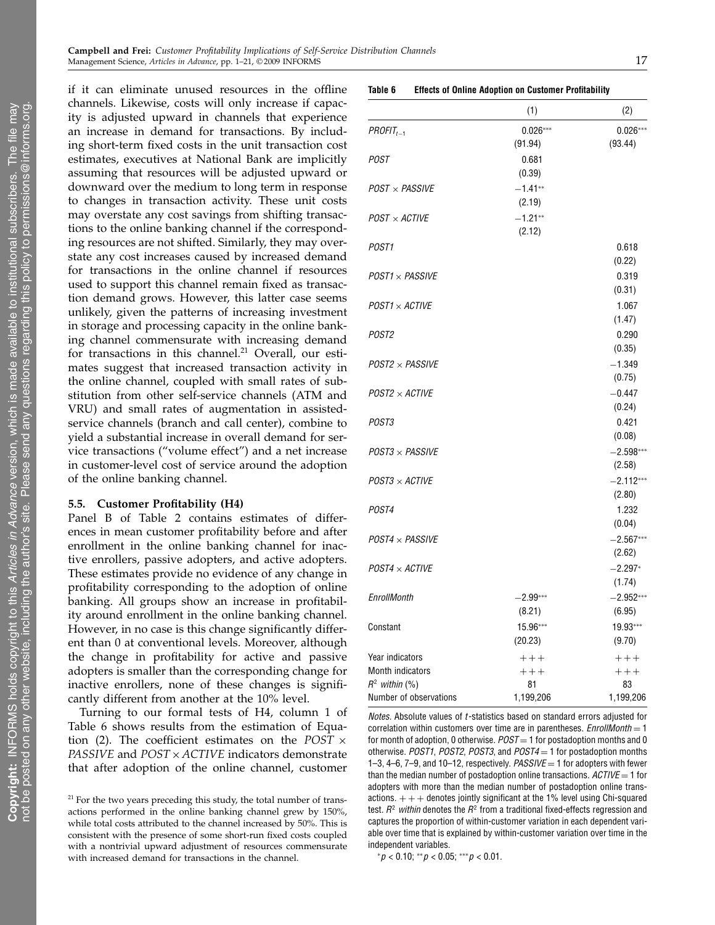if it can eliminate unused resources in the offline channels. Likewise, costs will only increase if capacity is adjusted upward in channels that experience an increase in demand for transactions. By including short-term fixed costs in the unit transaction cost estimates, executives at National Bank are implicitly assuming that resources will be adjusted upward or downward over the medium to long term in response to changes in transaction activity. These unit costs may overstate any cost savings from shifting transactions to the online banking channel if the corresponding resources are not shifted. Similarly, they may overstate any cost increases caused by increased demand for transactions in the online channel if resources used to support this channel remain fixed as transaction demand grows. However, this latter case seems unlikely, given the patterns of increasing investment in storage and processing capacity in the online banking channel commensurate with increasing demand for transactions in this channel.<sup>21</sup> Overall, our estimates suggest that increased transaction activity in the online channel, coupled with small rates of substitution from other self-service channels (ATM and VRU) and small rates of augmentation in assistedservice channels (branch and call center), combine to yield a substantial increase in overall demand for service transactions ("volume effect") and a net increase in customer-level cost of service around the adoption of the online banking channel.

### 5.5. Customer Profitability (H4)

Panel B of Table 2 contains estimates of differences in mean customer profitability before and after enrollment in the online banking channel for inactive enrollers, passive adopters, and active adopters. These estimates provide no evidence of any change in profitability corresponding to the adoption of online banking. All groups show an increase in profitability around enrollment in the online banking channel. However, in no case is this change significantly different than 0 at conventional levels. Moreover, although the change in profitability for active and passive adopters is smaller than the corresponding change for inactive enrollers, none of these changes is significantly different from another at the 10% level.

Turning to our formal tests of H4, column 1 of Table 6 shows results from the estimation of Equation (2). The coefficient estimates on the *POST*  $\times$ PASSIVE and POST × ACTIVE indicators demonstrate that after adoption of the online channel, customer

| Table 6 | <b>Effects of Online Adoption on Customer Profitability</b> |  |  |
|---------|-------------------------------------------------------------|--|--|
|         |                                                             |  |  |

|                                        | (1)        | (2)         |
|----------------------------------------|------------|-------------|
| $PROFIT_{t-1}$                         | $0.026***$ | $0.026***$  |
|                                        | (91.94)    | (93.44)     |
| POST                                   | 0.681      |             |
|                                        | (0.39)     |             |
| $POST \times PASSIVE$                  | $-1.41**$  |             |
|                                        | (2.19)     |             |
| $\mathit{POST} \times \mathit{ACTIVE}$ | $-1.21**$  |             |
|                                        | (2.12)     |             |
| POST1                                  |            | 0.618       |
|                                        |            | (0.22)      |
| $\mathit{POST1}\times\mathit{PASSIVE}$ |            | 0.319       |
|                                        |            | (0.31)      |
| $\mathit{POST1}\times\mathit{ACTIVE}$  |            | 1.067       |
|                                        |            | (1.47)      |
| POST2                                  |            | 0.290       |
|                                        |            | (0.35)      |
| $\mathit{POST2}\times\mathit{PASSIVE}$ |            | $-1.349$    |
|                                        |            | (0.75)      |
| $\mathit{POST2}\times\mathit{ACTIVE}$  |            | $-0.447$    |
|                                        |            | (0.24)      |
| <i>POST3</i>                           |            | 0.421       |
|                                        |            | (0.08)      |
| $POST3\times PASSIVE$                  |            | $-2.598***$ |
|                                        |            | (2.58)      |
| POST3 $\times$ ACTIVE                  |            | $-2.112***$ |
|                                        |            | (2.80)      |
| POST4                                  |            | 1.232       |
|                                        |            | (0.04)      |
| $POS74\times PASSIVE$                  |            | $-2.567***$ |
|                                        |            | (2.62)      |
| $POS74\times$ ACTIVE                   |            | $-2.297*$   |
|                                        |            | (1.74)      |
| EnrollMonth                            | $-2.99***$ | $-2.952***$ |
|                                        | (8.21)     | (6.95)      |
| Constant                               | 15.96***   | 19.93***    |
|                                        | (20.23)    | (9.70)      |
| Year indicators                        | $+++$      | $+++$       |
| <b>Month indicators</b>                | $++++$     | $+++$       |
| $R^2$ within $(\%)$                    | 81         | 83          |
| Number of observations                 | 1,199,206  | 1,199,206   |

Notes. Absolute values of t-statistics based on standard errors adjusted for correlation within customers over time are in parentheses.  $EnrollMonth = 1$ for month of adoption, 0 otherwise.  $POST = 1$  for postadoption months and 0 otherwise. POST1, POST2, POST3, and  $POST4 = 1$  for postadoption months 1–3, 4–6, 7–9, and 10–12, respectively.  $PASSIVE = 1$  for adopters with fewer than the median number of postadoption online transactions.  $ACTIVE = 1$  for adopters with more than the median number of postadoption online transactions.  $++$  denotes jointly significant at the 1% level using Chi-squared test.  $R^2$  within denotes the  $R^2$  from a traditional fixed-effects regression and captures the proportion of within-customer variation in each dependent variable over time that is explained by within-customer variation over time in the independent variables.

 ${}^*p$  < 0.10;  ${}^{**}p$  < 0.05;  ${}^{***}p$  < 0.01.

 $21$  For the two years preceding this study, the total number of transactions performed in the online banking channel grew by 150%, while total costs attributed to the channel increased by 50%. This is consistent with the presence of some short-run fixed costs coupled with a nontrivial upward adjustment of resources commensurate with increased demand for transactions in the channel.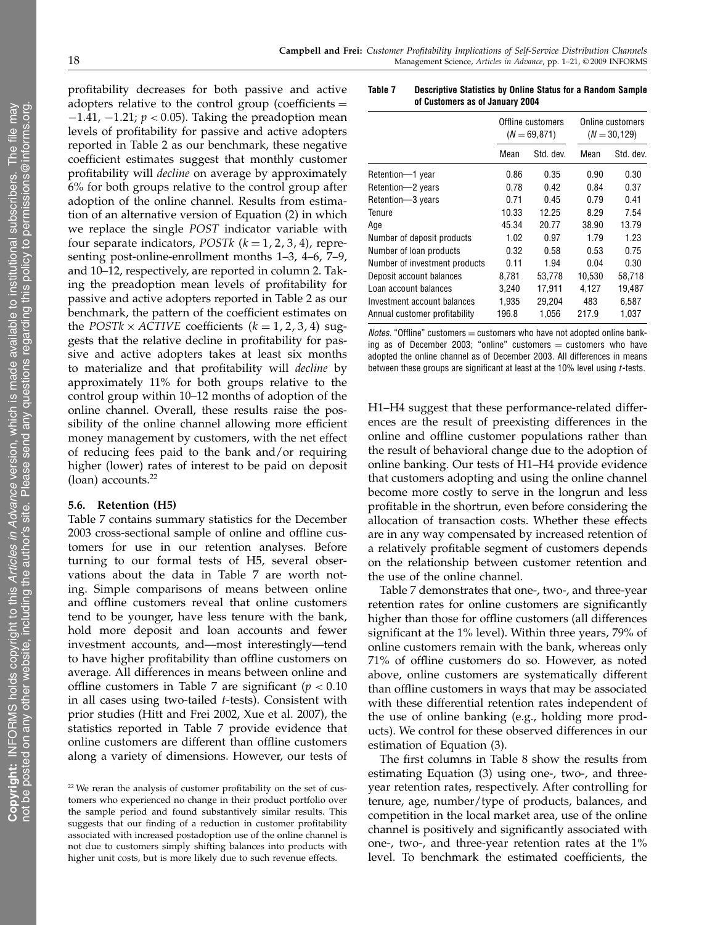profitability decreases for both passive and active adopters relative to the control group (coefficients  $=$  $-1.41$ ,  $-1.21$ ;  $p < 0.05$ ). Taking the preadoption mean levels of profitability for passive and active adopters reported in Table 2 as our benchmark, these negative coefficient estimates suggest that monthly customer profitability will decline on average by approximately  $6\%$  for both groups relative to the control group after adoption of the online channel. Results from estimation of an alternative version of Equation (2) in which we replace the single POST indicator variable with four separate indicators, *POSTk*  $(k = 1, 2, 3, 4)$ , representing post-online-enrollment months 1–3, 4–6, 7–9, and 10–12, respectively, are reported in column 2. Taking the preadoption mean levels of profitability for passive and active adopters reported in Table 2 as our benchmark, the pattern of the coefficient estimates on the *POSTk* × *ACTIVE* coefficients ( $k = 1, 2, 3, 4$ ) suggests that the relative decline in profitability for passive and active adopters takes at least six months to materialize and that profitability will decline by approximately 11% for both groups relative to the control group within 10–12 months of adoption of the online channel. Overall, these results raise the possibility of the online channel allowing more efficient money management by customers, with the net effect of reducing fees paid to the bank and/or requiring higher (lower) rates of interest to be paid on deposit (loan) accounts.<sup>22</sup>

### 5.6. Retention (H5)

Table 7 contains summary statistics for the December 2003 cross-sectional sample of online and offline customers for use in our retention analyses. Before turning to our formal tests of H5, several observations about the data in Table 7 are worth noting. Simple comparisons of means between online and offline customers reveal that online customers tend to be younger, have less tenure with the bank, hold more deposit and loan accounts and fewer investment accounts, and—most interestingly—tend to have higher profitability than offline customers on average. All differences in means between online and offline customers in Table 7 are significant ( $p < 0.10$ ) in all cases using two-tailed  $t$ -tests). Consistent with prior studies (Hitt and Frei 2002, Xue et al. 2007), the statistics reported in Table 7 provide evidence that online customers are different than offline customers along a variety of dimensions. However, our tests of

Table 7 Descriptive Statistics by Online Status for a Random Sample of Customers as of January 2004

|                               |       | Offline customers<br>$(N = 69, 871)$ |        | Online customers<br>$(N = 30, 129)$ |
|-------------------------------|-------|--------------------------------------|--------|-------------------------------------|
|                               | Mean  | Std. dev.                            | Mean   | Std. dev.                           |
| Retention-1 year              | 0.86  | 0.35                                 | 0.90   | 0.30                                |
| Retention-2 years             | 0.78  | 0.42                                 | 0.84   | 0.37                                |
| Retention-3 years             | 0.71  | 0.45                                 | 0.79   | 0.41                                |
| Tenure                        | 10.33 | 12.25                                | 8.29   | 7.54                                |
| Age                           | 45.34 | 20.77                                | 38.90  | 13.79                               |
| Number of deposit products    | 1.02  | 0.97                                 | 1.79   | 1.23                                |
| Number of loan products       | 0.32  | 0.58                                 | 0.53   | 0.75                                |
| Number of investment products | 0.11  | 1.94                                 | 0.04   | 0.30                                |
| Deposit account balances      | 8,781 | 53.778                               | 10,530 | 58,718                              |
| Loan account balances         | 3.240 | 17.911                               | 4.127  | 19,487                              |
| Investment account balances   | 1,935 | 29,204                               | 483    | 6,587                               |
| Annual customer profitability | 196.8 | 1,056                                | 217.9  | 1,037                               |

*Notes.* "Offline" customers  $=$  customers who have not adopted online banking as of December 2003; "online" customers  $=$  customers who have adopted the online channel as of December 2003. All differences in means between these groups are significant at least at the 10% level using t-tests.

H1–H4 suggest that these performance-related differences are the result of preexisting differences in the online and offline customer populations rather than the result of behavioral change due to the adoption of online banking. Our tests of H1–H4 provide evidence that customers adopting and using the online channel become more costly to serve in the longrun and less profitable in the shortrun, even before considering the allocation of transaction costs. Whether these effects are in any way compensated by increased retention of a relatively profitable segment of customers depends on the relationship between customer retention and the use of the online channel.

Table 7 demonstrates that one-, two-, and three-year retention rates for online customers are significantly higher than those for offline customers (all differences significant at the 1% level). Within three years, 79% of online customers remain with the bank, whereas only 71% of offline customers do so. However, as noted above, online customers are systematically different than offline customers in ways that may be associated with these differential retention rates independent of the use of online banking (e.g., holding more products). We control for these observed differences in our estimation of Equation (3).

The first columns in Table 8 show the results from estimating Equation (3) using one-, two-, and threeyear retention rates, respectively. After controlling for tenure, age, number/type of products, balances, and competition in the local market area, use of the online channel is positively and significantly associated with one-, two-, and three-year retention rates at the 1% level. To benchmark the estimated coefficients, the

<sup>&</sup>lt;sup>22</sup> We reran the analysis of customer profitability on the set of customers who experienced no change in their product portfolio over the sample period and found substantively similar results. This suggests that our finding of a reduction in customer profitability associated with increased postadoption use of the online channel is not due to customers simply shifting balances into products with higher unit costs, but is more likely due to such revenue effects.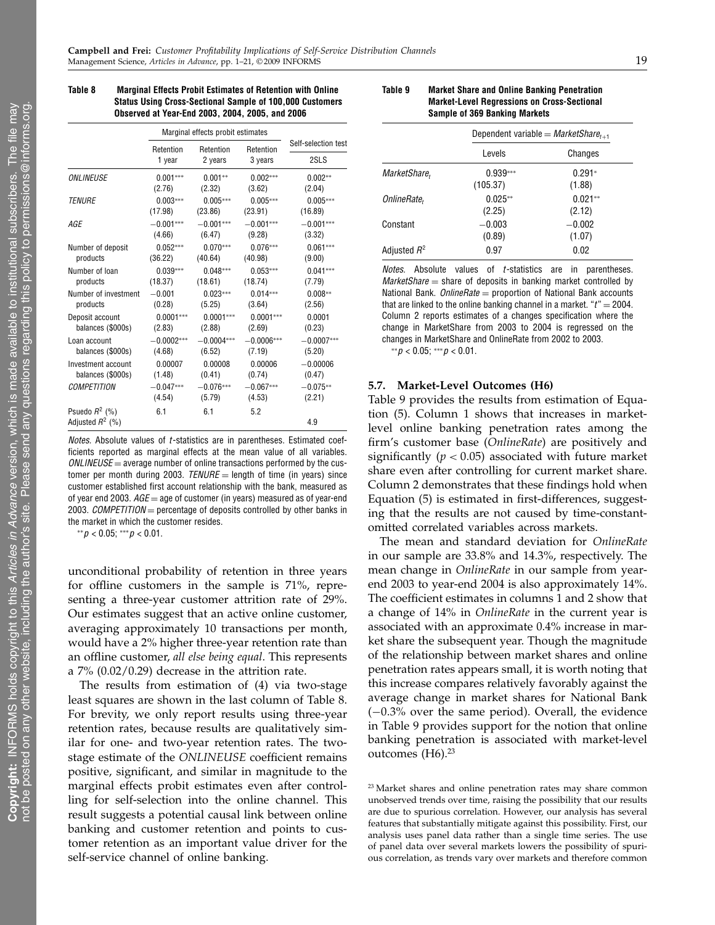| 00361 VGU AL TGAI-LIIU 2000, 2004, 2000, ANU 2000 |              |                                   |              |                     |
|---------------------------------------------------|--------------|-----------------------------------|--------------|---------------------|
|                                                   |              | Marginal effects probit estimates |              |                     |
|                                                   | Retention    | Retention                         | Retention    | Self-selection test |
|                                                   | 1 year       | 2 years                           | 3 years      | 2SLS                |
| <b>ONLINEUSE</b>                                  | $0.001***$   | $0.001**$                         | $0.002***$   | $0.002**$           |
|                                                   | (2.76)       | (2.32)                            | (3.62)       | (2.04)              |
| <b>TENURE</b>                                     | $0.003***$   | $0.005***$                        | $0.005***$   | $0.005***$          |
|                                                   | (17.98)      | (23.86)                           | (23.91)      | (16.89)             |
| AGE                                               | $-0.001***$  | $-0.001***$                       | $-0.001***$  | $-0.001***$         |
|                                                   | (4.66)       | (6.47)                            | (9.28)       | (3.32)              |
| Number of deposit                                 | $0.052***$   | $0.070***$                        | $0.076***$   | $0.061***$          |
| products                                          | (36.22)      | (40.64)                           | (40.98)      | (9.00)              |
| Number of Ioan                                    | $0.039***$   | $0.048***$                        | $0.053***$   | $0.041***$          |
| products                                          | (18.37)      | (18.61)                           | (18.74)      | (7.79)              |
| Number of investment                              | $-0.001$     | $0.023***$                        | $0.014***$   | $0.008**$           |
| products                                          | (0.28)       | (5.25)                            | (3.64)       | (2.56)              |
| Deposit account                                   | $0.0001***$  | $0.0001***$                       | $0.0001***$  | 0.0001              |
| balances (\$000s)                                 | (2.83)       | (2.88)                            | (2.69)       | (0.23)              |
| Loan account                                      | $-0.0002***$ | $-0.0004***$                      | $-0.0006***$ | $-0.0007***$        |
| balances (\$000s)                                 | (4.68)       | (6.52)                            | (7.19)       | (5.20)              |
| Investment account                                | 0.00007      | 0.00008                           | 0.00006      | $-0.00006$          |
| balances (\$000s)                                 | (1.48)       | (0.41)                            | (0.74)       | (0.47)              |
| <b>COMPETITION</b>                                | $-0.047***$  | $-0.076***$                       | $-0.067***$  | $-0.075**$          |
|                                                   | (4.54)       | (5.79)                            | (4.53)       | (2.21)              |
| Psuedo $R^2$ (%)<br>Adjusted $R^2$ (%)            | 6.1          | 6.1                               | 5.2          | 4.9                 |

#### Table 8 Marginal Effects Probit Estimates of Retention with Online Status Using Cross-Sectional Sample of 100,000 Customers Observed at Year-End 2003, 2004, 2005, and 2006

Notes. Absolute values of t-statistics are in parentheses. Estimated coefficients reported as marginal effects at the mean value of all variables.  $ONLINEUSE = average$  number of online transactions performed by the customer per month during 2003. TENURE = length of time (in years) since customer established first account relationship with the bank, measured as of year end 2003.  $AGE = age$  of customer (in years) measured as of year-end 2003. COMPETITION = percentage of deposits controlled by other banks in the market in which the customer resides.

∗∗p < 0.05; ∗∗∗p < 0.01.

unconditional probability of retention in three years for offline customers in the sample is  $71\%$ , representing a three-year customer attrition rate of 29%. Our estimates suggest that an active online customer, averaging approximately 10 transactions per month, would have a 2% higher three-year retention rate than an offline customer, all else being equal. This represents a 7% (0.02/0.29) decrease in the attrition rate.

The results from estimation of (4) via two-stage least squares are shown in the last column of Table 8. For brevity, we only report results using three-year retention rates, because results are qualitatively similar for one- and two-year retention rates. The twostage estimate of the ONLINEUSE coefficient remains positive, significant, and similar in magnitude to the marginal effects probit estimates even after controlling for self-selection into the online channel. This result suggests a potential causal link between online banking and customer retention and points to customer retention as an important value driver for the self-service channel of online banking.

| Table 9 | <b>Market Share and Online Banking Penetration</b> |
|---------|----------------------------------------------------|
|         | <b>Market-Level Regressions on Cross-Sectional</b> |
|         | <b>Sample of 369 Banking Markets</b>               |

|                | Dependent variable = <i>MarketShare</i> <sub>t+1</sub> |           |  |
|----------------|--------------------------------------------------------|-----------|--|
|                | Levels                                                 | Changes   |  |
| MarketShare,   | $0.939***$                                             | $0.291*$  |  |
|                | (105.37)                                               | (1.88)    |  |
| OnlineRate,    | $0.025**$                                              | $0.021**$ |  |
|                | (2.25)                                                 | (2.12)    |  |
| Constant       | $-0.003$                                               | $-0.002$  |  |
|                | (0.89)                                                 | (1.07)    |  |
| Adjusted $R^2$ | 0.97                                                   | 0.02      |  |

Notes. Absolute values of t-statistics are in parentheses.  $MarketShare = share of deposits in banking market controlled by$ National Bank. OnlineRate  $=$  proportion of National Bank accounts that are linked to the online banking channel in a market. " $t$ " = 2004. Column 2 reports estimates of a changes specification where the change in MarketShare from 2003 to 2004 is regressed on the changes in MarketShare and OnlineRate from 2002 to 2003.  $* p < 0.05; **p < 0.01.$ 

### 5.7. Market-Level Outcomes (H6)

Table 9 provides the results from estimation of Equation (5). Column 1 shows that increases in marketlevel online banking penetration rates among the firm's customer base (OnlineRate) are positively and significantly ( $p < 0.05$ ) associated with future market share even after controlling for current market share. Column 2 demonstrates that these findings hold when Equation (5) is estimated in first-differences, suggesting that the results are not caused by time-constantomitted correlated variables across markets.

The mean and standard deviation for OnlineRate in our sample are 33.8% and 14.3%, respectively. The mean change in OnlineRate in our sample from yearend 2003 to year-end 2004 is also approximately 14%. The coefficient estimates in columns 1 and 2 show that a change of 14% in *OnlineRate* in the current year is associated with an approximate 0.4% increase in market share the subsequent year. Though the magnitude of the relationship between market shares and online penetration rates appears small, it is worth noting that this increase compares relatively favorably against the average change in market shares for National Bank (−03% over the same period). Overall, the evidence in Table 9 provides support for the notion that online banking penetration is associated with market-level outcomes (H6).<sup>23</sup>

<sup>23</sup> Market shares and online penetration rates may share common unobserved trends over time, raising the possibility that our results are due to spurious correlation. However, our analysis has several features that substantially mitigate against this possibility. First, our analysis uses panel data rather than a single time series. The use of panel data over several markets lowers the possibility of spurious correlation, as trends vary over markets and therefore common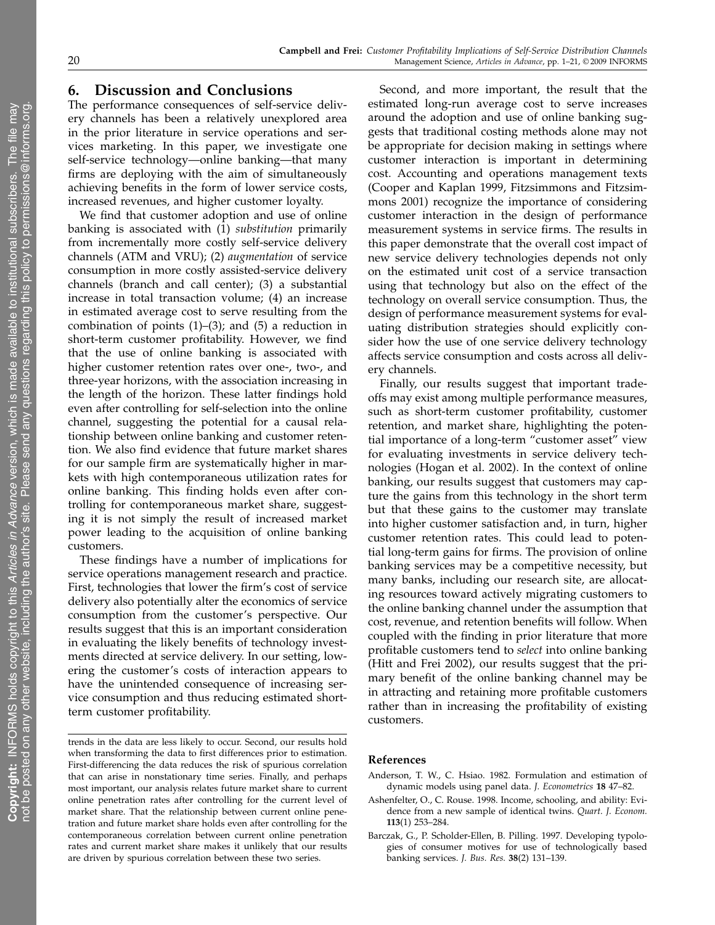The performance consequences of self-service delivery channels has been a relatively unexplored area in the prior literature in service operations and services marketing. In this paper, we investigate one self-service technology—online banking—that many firms are deploying with the aim of simultaneously achieving benefits in the form of lower service costs, increased revenues, and higher customer loyalty.

We find that customer adoption and use of online banking is associated with (1) substitution primarily from incrementally more costly self-service delivery channels (ATM and VRU); (2) augmentation of service consumption in more costly assisted-service delivery channels (branch and call center); (3) a substantial increase in total transaction volume; (4) an increase in estimated average cost to serve resulting from the combination of points  $(1)$ – $(3)$ ; and  $(5)$  a reduction in short-term customer profitability. However, we find that the use of online banking is associated with higher customer retention rates over one-, two-, and three-year horizons, with the association increasing in the length of the horizon. These latter findings hold even after controlling for self-selection into the online channel, suggesting the potential for a causal relationship between online banking and customer retention. We also find evidence that future market shares for our sample firm are systematically higher in markets with high contemporaneous utilization rates for online banking. This finding holds even after controlling for contemporaneous market share, suggesting it is not simply the result of increased market power leading to the acquisition of online banking customers.

These findings have a number of implications for service operations management research and practice. First, technologies that lower the firm's cost of service delivery also potentially alter the economics of service consumption from the customer's perspective. Our results suggest that this is an important consideration in evaluating the likely benefits of technology investments directed at service delivery. In our setting, lowering the customer's costs of interaction appears to have the unintended consequence of increasing service consumption and thus reducing estimated shortterm customer profitability.

Second, and more important, the result that the estimated long-run average cost to serve increases around the adoption and use of online banking suggests that traditional costing methods alone may not be appropriate for decision making in settings where customer interaction is important in determining cost. Accounting and operations management texts (Cooper and Kaplan 1999, Fitzsimmons and Fitzsimmons 2001) recognize the importance of considering customer interaction in the design of performance measurement systems in service firms. The results in this paper demonstrate that the overall cost impact of new service delivery technologies depends not only on the estimated unit cost of a service transaction using that technology but also on the effect of the technology on overall service consumption. Thus, the design of performance measurement systems for evaluating distribution strategies should explicitly consider how the use of one service delivery technology affects service consumption and costs across all delivery channels.

Finally, our results suggest that important tradeoffs may exist among multiple performance measures, such as short-term customer profitability, customer retention, and market share, highlighting the potential importance of a long-term "customer asset" view for evaluating investments in service delivery technologies (Hogan et al. 2002). In the context of online banking, our results suggest that customers may capture the gains from this technology in the short term but that these gains to the customer may translate into higher customer satisfaction and, in turn, higher customer retention rates. This could lead to potential long-term gains for firms. The provision of online banking services may be a competitive necessity, but many banks, including our research site, are allocating resources toward actively migrating customers to the online banking channel under the assumption that cost, revenue, and retention benefits will follow. When coupled with the finding in prior literature that more profitable customers tend to *select* into online banking (Hitt and Frei 2002), our results suggest that the primary benefit of the online banking channel may be in attracting and retaining more profitable customers rather than in increasing the profitability of existing customers.

#### References

- Anderson, T. W., C. Hsiao. 1982. Formulation and estimation of dynamic models using panel data. J. Econometrics 18 47–82.
- Ashenfelter, O., C. Rouse. 1998. Income, schooling, and ability: Evidence from a new sample of identical twins. Quart. J. Econom. 113(1) 253–284.
- Barczak, G., P. Scholder-Ellen, B. Pilling. 1997. Developing typologies of consumer motives for use of technologically based banking services. J. Bus. Res. 38(2) 131–139.

trends in the data are less likely to occur. Second, our results hold when transforming the data to first differences prior to estimation. First-differencing the data reduces the risk of spurious correlation that can arise in nonstationary time series. Finally, and perhaps most important, our analysis relates future market share to current online penetration rates after controlling for the current level of market share. That the relationship between current online penetration and future market share holds even after controlling for the contemporaneous correlation between current online penetration rates and current market share makes it unlikely that our results are driven by spurious correlation between these two series.